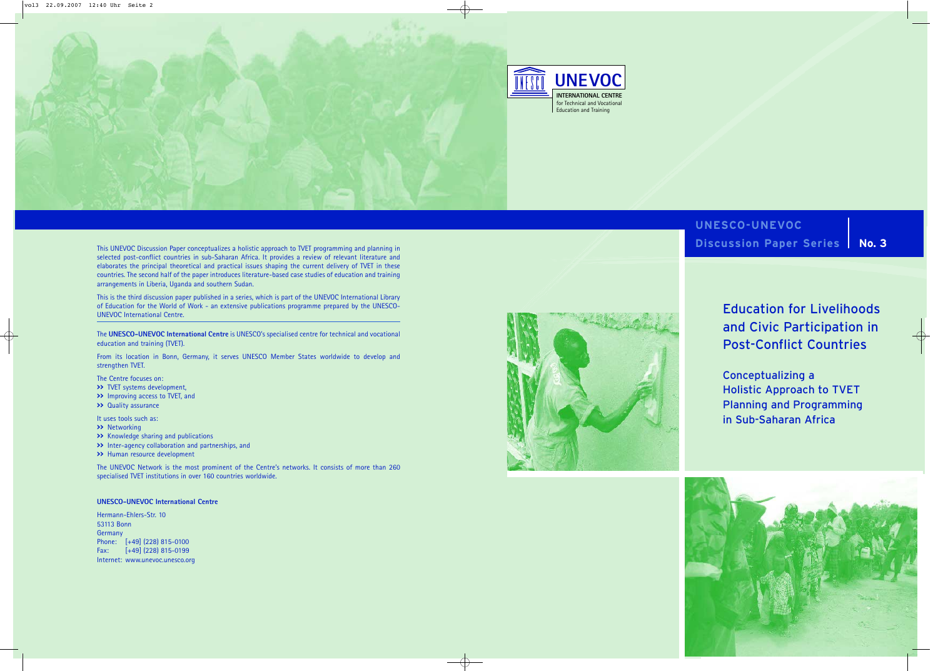

**UNESCO-UNEVOC Discussion Paper Series | No. 3** 



Education for Livelihoods and Civic Participation in Post-Conflict Countries

Conceptualizing a Holistic Approach to TVET Planning and Programming in Sub-Saharan Africa

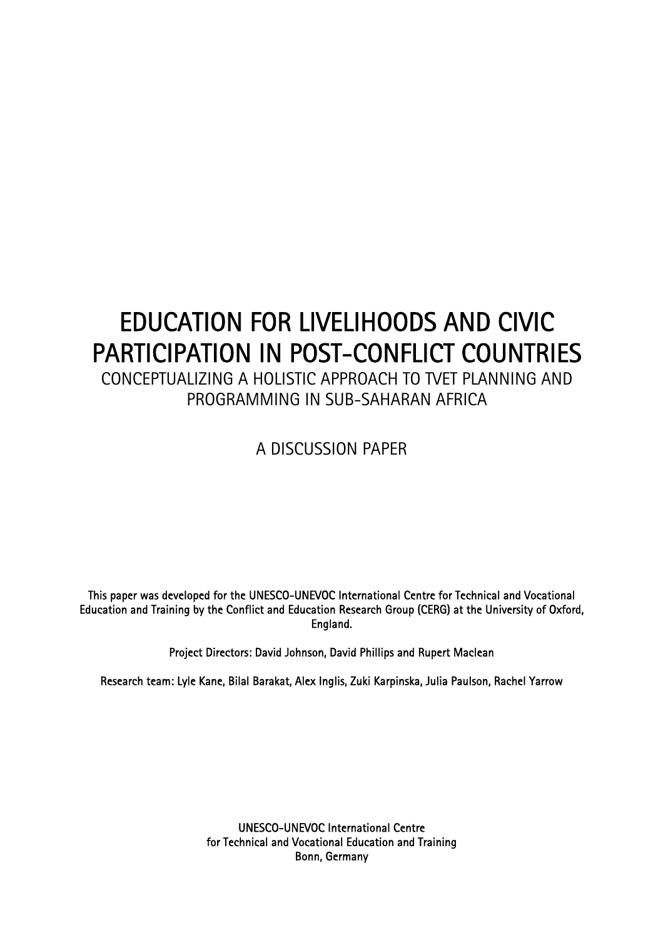# EDUCATION FOR LIVELIHOODS AND CIVIC PARTICIPATION IN POST-CONFLICT COUNTRIES

CONCEPTUALIZING A HOLISTIC APPROACH TO TVET PLANNING AND PROGRAMMING IN SUB-SAHARAN AFRICA

A DISCUSSION PAPER

This paper was developed for the UNESCO-UNEVOC International Centre for Technical and Vocational Education and Training by the Conflict and Education Research Group (CERG) at the University of Oxford, England.

Project Directors: David Johnson, David Phillips and Rupert Maclean

Research team: Lyle Kane, Bilal Barakat, Alex Inglis, Zuki Karpinska, Julia Paulson, Rachel Yarrow

UNESCO-UNEVOC International Centre for Technical and Vocational Education and Training Bonn, Germany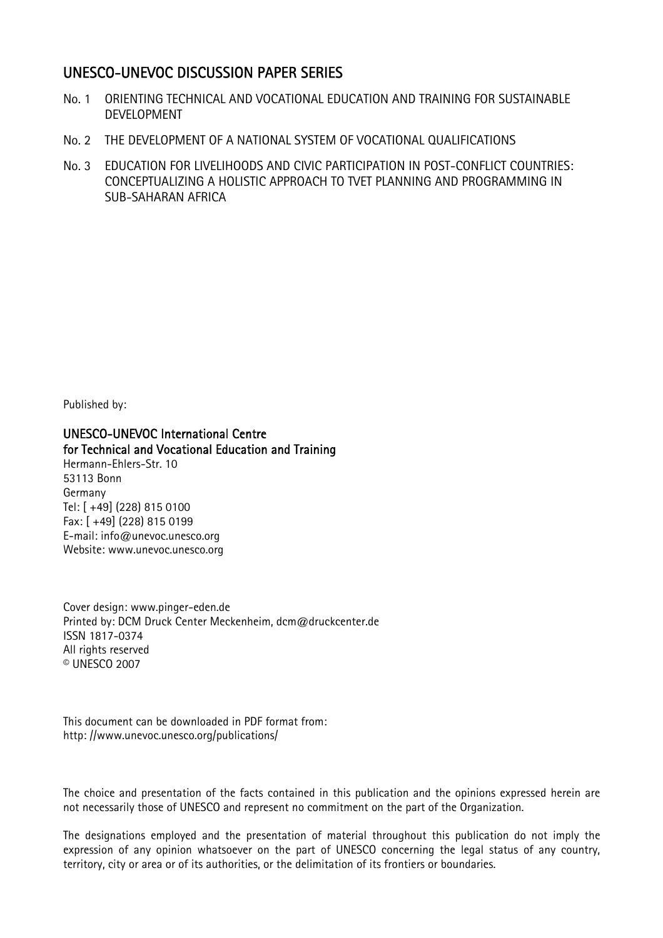## UNESCO-UNEVOC DISCUSSION PAPER SERIES

- No. 1 ORIENTING TECHNICAL AND VOCATIONAL EDUCATION AND TRAINING FOR SUSTAINABLE DEVELOPMENT
- No. 2 THE DEVELOPMENT OF A NATIONAL SYSTEM OF VOCATIONAL QUALIFICATIONS
- No. 3 EDUCATION FOR LIVELIHOODS AND CIVIC PARTICIPATION IN POST-CONFLICT COUNTRIES: CONCEPTUALIZING A HOLISTIC APPROACH TO TVET PLANNING AND PROGRAMMING IN SUB-SAHARAN AFRICA

Published by:

UNESCO-UNEVOC International Centre for Technical and Vocational Education and Training Hermann-Ehlers-Str. 10 53113 Bonn Germany Tel: [ +49] (228) 815 0100 Fax: [ +49] (228) 815 0199 E-mail: info@unevoc.unesco.org

Website: www.unevoc.unesco.org

Cover design: www.pinger-eden.de Printed by: DCM Druck Center Meckenheim, dcm@druckcenter.de ISSN 1817-0374 All rights reserved © UNESCO 2007

This document can be downloaded in PDF format from: http: //www.unevoc.unesco.org/publications/

The choice and presentation of the facts contained in this publication and the opinions expressed herein are not necessarily those of UNESCO and represent no commitment on the part of the Organization.

The designations employed and the presentation of material throughout this publication do not imply the expression of any opinion whatsoever on the part of UNESCO concerning the legal status of any country, territory, city or area or of its authorities, or the delimitation of its frontiers or boundaries.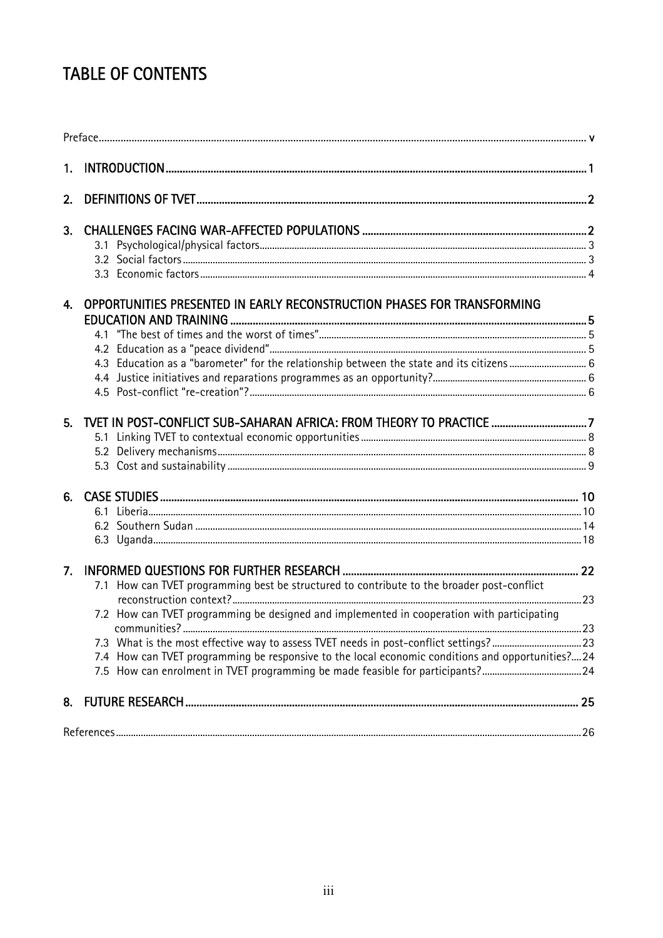# **TABLE OF CONTENTS**

| 2. |                                                                                                  |     |
|----|--------------------------------------------------------------------------------------------------|-----|
| 3. |                                                                                                  |     |
|    |                                                                                                  |     |
|    |                                                                                                  |     |
|    |                                                                                                  |     |
|    | 4. OPPORTUNITIES PRESENTED IN EARLY RECONSTRUCTION PHASES FOR TRANSFORMING                       |     |
|    |                                                                                                  |     |
|    |                                                                                                  |     |
|    |                                                                                                  |     |
|    |                                                                                                  |     |
|    |                                                                                                  |     |
|    |                                                                                                  |     |
|    |                                                                                                  |     |
|    |                                                                                                  |     |
|    |                                                                                                  |     |
|    |                                                                                                  |     |
|    |                                                                                                  |     |
|    |                                                                                                  |     |
|    |                                                                                                  |     |
| 7. |                                                                                                  |     |
|    | 7.1 How can TVET programming best be structured to contribute to the broader post-conflict       |     |
|    |                                                                                                  |     |
|    | 7.2 How can TVET programming be designed and implemented in cooperation with participating       |     |
|    | communities?                                                                                     | 23  |
|    | 7.3 What is the most effective way to assess TVET needs in post-conflict settings?23             |     |
|    | 7.4 How can TVET programming be responsive to the local economic conditions and opportunities?24 |     |
|    |                                                                                                  |     |
| 8. |                                                                                                  |     |
|    | References                                                                                       | .26 |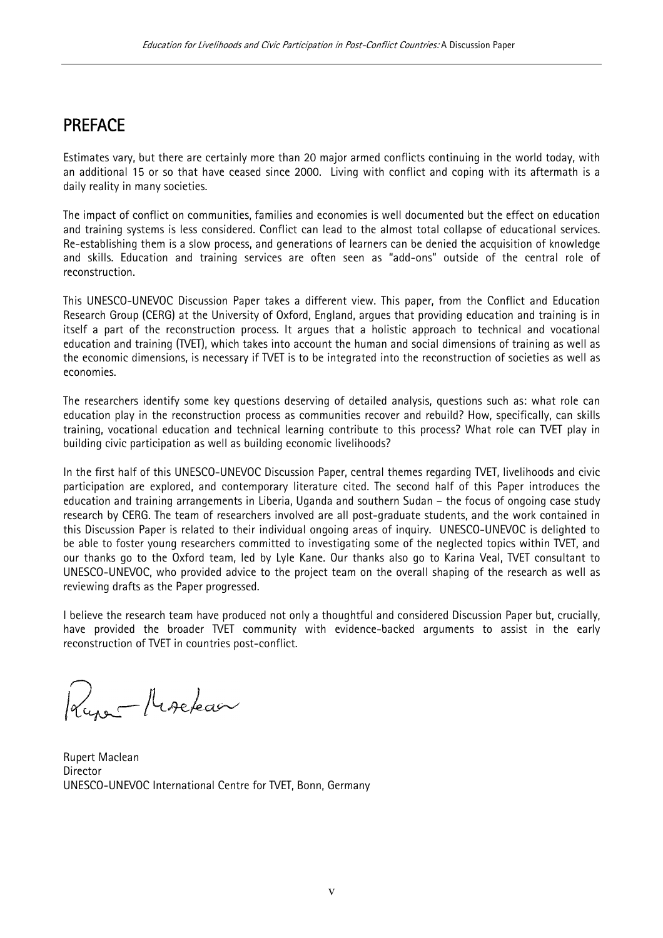# PREFACE

Estimates vary, but there are certainly more than 20 major armed conflicts continuing in the world today, with an additional 15 or so that have ceased since 2000. Living with conflict and coping with its aftermath is a daily reality in many societies.

The impact of conflict on communities, families and economies is well documented but the effect on education and training systems is less considered. Conflict can lead to the almost total collapse of educational services. Re-establishing them is a slow process, and generations of learners can be denied the acquisition of knowledge and skills. Education and training services are often seen as "add-ons" outside of the central role of reconstruction.

This UNESCO-UNEVOC Discussion Paper takes a different view. This paper, from the Conflict and Education Research Group (CERG) at the University of Oxford, England, argues that providing education and training is in itself a part of the reconstruction process. It argues that a holistic approach to technical and vocational education and training (TVET), which takes into account the human and social dimensions of training as well as the economic dimensions, is necessary if TVET is to be integrated into the reconstruction of societies as well as economies.

The researchers identify some key questions deserving of detailed analysis, questions such as: what role can education play in the reconstruction process as communities recover and rebuild? How, specifically, can skills training, vocational education and technical learning contribute to this process? What role can TVET play in building civic participation as well as building economic livelihoods?

In the first half of this UNESCO-UNEVOC Discussion Paper, central themes regarding TVET, livelihoods and civic participation are explored, and contemporary literature cited. The second half of this Paper introduces the education and training arrangements in Liberia, Uganda and southern Sudan – the focus of ongoing case study research by CERG. The team of researchers involved are all post-graduate students, and the work contained in this Discussion Paper is related to their individual ongoing areas of inquiry. UNESCO-UNEVOC is delighted to be able to foster young researchers committed to investigating some of the neglected topics within TVET, and our thanks go to the Oxford team, led by Lyle Kane. Our thanks also go to Karina Veal, TVET consultant to UNESCO-UNEVOC, who provided advice to the project team on the overall shaping of the research as well as reviewing drafts as the Paper progressed.

I believe the research team have produced not only a thoughtful and considered Discussion Paper but, crucially, have provided the broader TVET community with evidence-backed arguments to assist in the early reconstruction of TVET in countries post-conflict.

Kure-Marekaa

Rupert Maclean Director UNESCO-UNEVOC International Centre for TVET, Bonn, Germany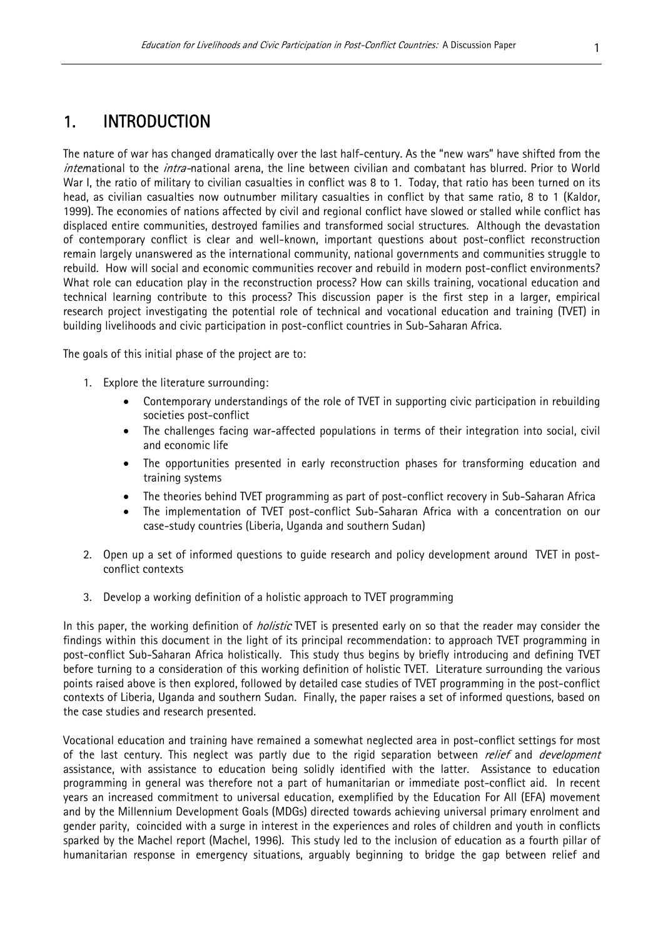# 1. INTRODUCTION

The nature of war has changed dramatically over the last half-century. As the "new wars" have shifted from the international to the *intra-*national arena, the line between civilian and combatant has blurred. Prior to World War I, the ratio of military to civilian casualties in conflict was 8 to 1. Today, that ratio has been turned on its head, as civilian casualties now outnumber military casualties in conflict by that same ratio, 8 to 1 (Kaldor, 1999). The economies of nations affected by civil and regional conflict have slowed or stalled while conflict has displaced entire communities, destroyed families and transformed social structures. Although the devastation of contemporary conflict is clear and well-known, important questions about post-conflict reconstruction remain largely unanswered as the international community, national governments and communities struggle to rebuild. How will social and economic communities recover and rebuild in modern post-conflict environments? What role can education play in the reconstruction process? How can skills training, vocational education and technical learning contribute to this process? This discussion paper is the first step in a larger, empirical research project investigating the potential role of technical and vocational education and training (TVET) in building livelihoods and civic participation in post-conflict countries in Sub-Saharan Africa.

The goals of this initial phase of the project are to:

- 1. Explore the literature surrounding:
	- Contemporary understandings of the role of TVET in supporting civic participation in rebuilding societies post-conflict
	- The challenges facing war-affected populations in terms of their integration into social, civil and economic life
	- The opportunities presented in early reconstruction phases for transforming education and training systems
	- The theories behind TVET programming as part of post-conflict recovery in Sub-Saharan Africa
	- The implementation of TVET post-conflict Sub-Saharan Africa with a concentration on our case-study countries (Liberia, Uganda and southern Sudan)
- 2. Open up a set of informed questions to guide research and policy development around TVET in postconflict contexts
- 3. Develop a working definition of a holistic approach to TVET programming

In this paper, the working definition of *holistic* TVET is presented early on so that the reader may consider the findings within this document in the light of its principal recommendation: to approach TVET programming in post-conflict Sub-Saharan Africa holistically. This study thus begins by briefly introducing and defining TVET before turning to a consideration of this working definition of holistic TVET. Literature surrounding the various points raised above is then explored, followed by detailed case studies of TVET programming in the post-conflict contexts of Liberia, Uganda and southern Sudan. Finally, the paper raises a set of informed questions, based on the case studies and research presented.

Vocational education and training have remained a somewhat neglected area in post-conflict settings for most of the last century. This neglect was partly due to the rigid separation between *relief* and *development* assistance, with assistance to education being solidly identified with the latter. Assistance to education programming in general was therefore not a part of humanitarian or immediate post-conflict aid. In recent years an increased commitment to universal education, exemplified by the Education For All (EFA) movement and by the Millennium Development Goals (MDGs) directed towards achieving universal primary enrolment and gender parity, coincided with a surge in interest in the experiences and roles of children and youth in conflicts sparked by the Machel report (Machel, 1996). This study led to the inclusion of education as a fourth pillar of humanitarian response in emergency situations, arguably beginning to bridge the gap between relief and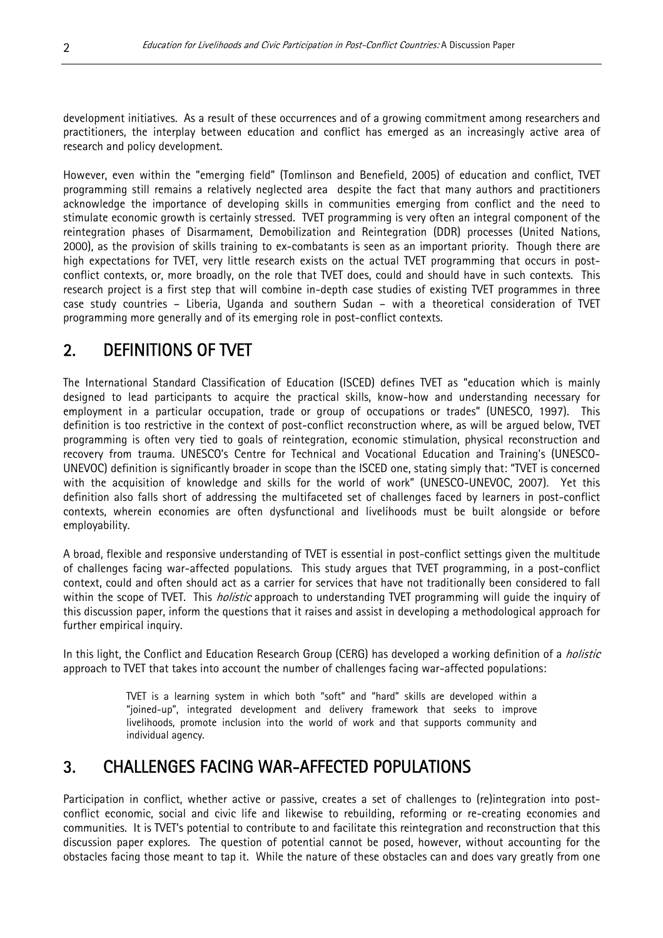development initiatives. As a result of these occurrences and of a growing commitment among researchers and practitioners, the interplay between education and conflict has emerged as an increasingly active area of research and policy development.

However, even within the "emerging field" (Tomlinson and Benefield, 2005) of education and conflict, TVET programming still remains a relatively neglected area despite the fact that many authors and practitioners acknowledge the importance of developing skills in communities emerging from conflict and the need to stimulate economic growth is certainly stressed. TVET programming is very often an integral component of the reintegration phases of Disarmament, Demobilization and Reintegration (DDR) processes (United Nations, 2000), as the provision of skills training to ex-combatants is seen as an important priority. Though there are high expectations for TVET, very little research exists on the actual TVET programming that occurs in postconflict contexts, or, more broadly, on the role that TVET does, could and should have in such contexts. This research project is a first step that will combine in-depth case studies of existing TVET programmes in three case study countries – Liberia, Uganda and southern Sudan – with a theoretical consideration of TVET programming more generally and of its emerging role in post-conflict contexts.

# 2. DEFINITIONS OF TVET

The International Standard Classification of Education (ISCED) defines TVET as "education which is mainly designed to lead participants to acquire the practical skills, know-how and understanding necessary for employment in a particular occupation, trade or group of occupations or trades" (UNESCO, 1997). This definition is too restrictive in the context of post-conflict reconstruction where, as will be argued below, TVET programming is often very tied to goals of reintegration, economic stimulation, physical reconstruction and recovery from trauma. UNESCO's Centre for Technical and Vocational Education and Training's (UNESCO-UNEVOC) definition is significantly broader in scope than the ISCED one, stating simply that: "TVET is concerned with the acquisition of knowledge and skills for the world of work" (UNESCO-UNEVOC, 2007). Yet this definition also falls short of addressing the multifaceted set of challenges faced by learners in post-conflict contexts, wherein economies are often dysfunctional and livelihoods must be built alongside or before employability.

A broad, flexible and responsive understanding of TVET is essential in post-conflict settings given the multitude of challenges facing war-affected populations. This study argues that TVET programming, in a post-conflict context, could and often should act as a carrier for services that have not traditionally been considered to fall within the scope of TVET. This *holistic* approach to understanding TVET programming will guide the inquiry of this discussion paper, inform the questions that it raises and assist in developing a methodological approach for further empirical inquiry.

In this light, the Conflict and Education Research Group (CERG) has developed a working definition of a *holistic* approach to TVET that takes into account the number of challenges facing war-affected populations:

> TVET is a learning system in which both "soft" and "hard" skills are developed within a "joined-up", integrated development and delivery framework that seeks to improve livelihoods, promote inclusion into the world of work and that supports community and individual agency.

# 3. CHALLENGES FACING WAR-AFFECTED POPULATIONS

Participation in conflict, whether active or passive, creates a set of challenges to (re)integration into postconflict economic, social and civic life and likewise to rebuilding, reforming or re-creating economies and communities. It is TVET's potential to contribute to and facilitate this reintegration and reconstruction that this discussion paper explores. The question of potential cannot be posed, however, without accounting for the obstacles facing those meant to tap it. While the nature of these obstacles can and does vary greatly from one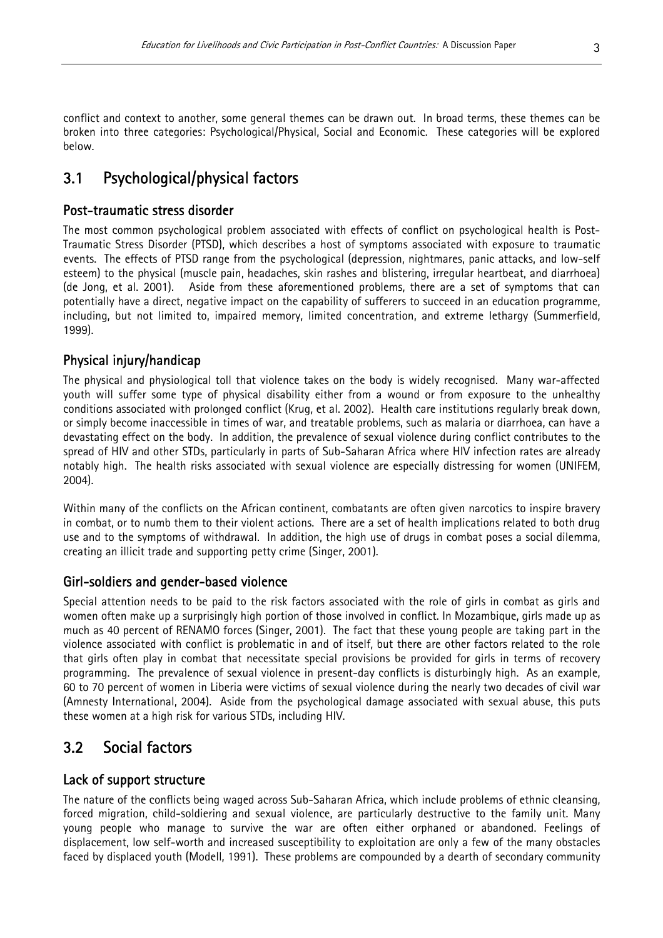conflict and context to another, some general themes can be drawn out. In broad terms, these themes can be broken into three categories: Psychological/Physical, Social and Economic. These categories will be explored below.

## 3.1 Psychological/physical factors

#### Post-traumatic stress disorder

The most common psychological problem associated with effects of conflict on psychological health is Post-Traumatic Stress Disorder (PTSD), which describes a host of symptoms associated with exposure to traumatic events. The effects of PTSD range from the psychological (depression, nightmares, panic attacks, and low-self esteem) to the physical (muscle pain, headaches, skin rashes and blistering, irregular heartbeat, and diarrhoea) (de Jong, et al. 2001). Aside from these aforementioned problems, there are a set of symptoms that can potentially have a direct, negative impact on the capability of sufferers to succeed in an education programme, including, but not limited to, impaired memory, limited concentration, and extreme lethargy (Summerfield, 1999).

#### Physical injury/handicap

The physical and physiological toll that violence takes on the body is widely recognised. Many war-affected youth will suffer some type of physical disability either from a wound or from exposure to the unhealthy conditions associated with prolonged conflict (Krug, et al. 2002). Health care institutions regularly break down, or simply become inaccessible in times of war, and treatable problems, such as malaria or diarrhoea, can have a devastating effect on the body. In addition, the prevalence of sexual violence during conflict contributes to the spread of HIV and other STDs, particularly in parts of Sub-Saharan Africa where HIV infection rates are already notably high. The health risks associated with sexual violence are especially distressing for women (UNIFEM, 2004).

Within many of the conflicts on the African continent, combatants are often given narcotics to inspire bravery in combat, or to numb them to their violent actions. There are a set of health implications related to both drug use and to the symptoms of withdrawal. In addition, the high use of drugs in combat poses a social dilemma, creating an illicit trade and supporting petty crime (Singer, 2001).

#### Girl-soldiers and gender-based violence

Special attention needs to be paid to the risk factors associated with the role of girls in combat as girls and women often make up a surprisingly high portion of those involved in conflict. In Mozambique, girls made up as much as 40 percent of RENAMO forces (Singer, 2001). The fact that these young people are taking part in the violence associated with conflict is problematic in and of itself, but there are other factors related to the role that girls often play in combat that necessitate special provisions be provided for girls in terms of recovery programming. The prevalence of sexual violence in present-day conflicts is disturbingly high. As an example, 60 to 70 percent of women in Liberia were victims of sexual violence during the nearly two decades of civil war (Amnesty International, 2004). Aside from the psychological damage associated with sexual abuse, this puts these women at a high risk for various STDs, including HIV.

### 3.2 Social factors

#### Lack of support structure

The nature of the conflicts being waged across Sub-Saharan Africa, which include problems of ethnic cleansing, forced migration, child-soldiering and sexual violence, are particularly destructive to the family unit. Many young people who manage to survive the war are often either orphaned or abandoned. Feelings of displacement, low self-worth and increased susceptibility to exploitation are only a few of the many obstacles faced by displaced youth (Modell, 1991). These problems are compounded by a dearth of secondary community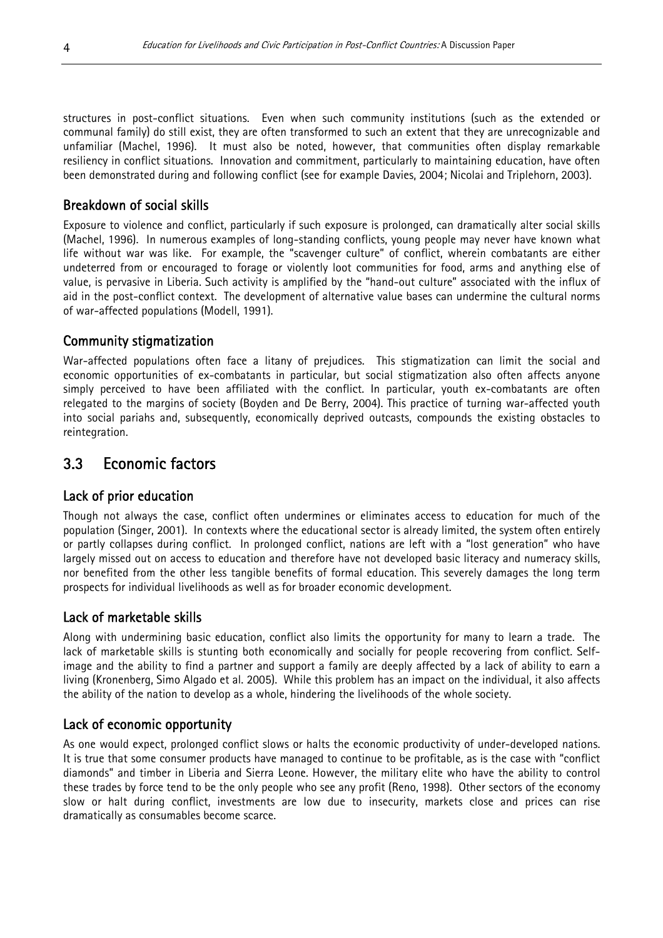structures in post-conflict situations. Even when such community institutions (such as the extended or communal family) do still exist, they are often transformed to such an extent that they are unrecognizable and unfamiliar (Machel, 1996). It must also be noted, however, that communities often display remarkable resiliency in conflict situations. Innovation and commitment, particularly to maintaining education, have often been demonstrated during and following conflict (see for example Davies, 2004; Nicolai and Triplehorn, 2003).

#### Breakdown of social skills

Exposure to violence and conflict, particularly if such exposure is prolonged, can dramatically alter social skills (Machel, 1996). In numerous examples of long-standing conflicts, young people may never have known what life without war was like. For example, the "scavenger culture" of conflict, wherein combatants are either undeterred from or encouraged to forage or violently loot communities for food, arms and anything else of value, is pervasive in Liberia. Such activity is amplified by the "hand-out culture" associated with the influx of aid in the post-conflict context. The development of alternative value bases can undermine the cultural norms of war-affected populations (Modell, 1991).

#### Community stigmatization

War-affected populations often face a litany of prejudices. This stigmatization can limit the social and economic opportunities of ex-combatants in particular, but social stigmatization also often affects anyone simply perceived to have been affiliated with the conflict. In particular, youth ex-combatants are often relegated to the margins of society (Boyden and De Berry, 2004). This practice of turning war-affected youth into social pariahs and, subsequently, economically deprived outcasts, compounds the existing obstacles to reintegration.

# 3.3 Economic factors

#### Lack of prior education

Though not always the case, conflict often undermines or eliminates access to education for much of the population (Singer, 2001). In contexts where the educational sector is already limited, the system often entirely or partly collapses during conflict. In prolonged conflict, nations are left with a "lost generation" who have largely missed out on access to education and therefore have not developed basic literacy and numeracy skills, nor benefited from the other less tangible benefits of formal education. This severely damages the long term prospects for individual livelihoods as well as for broader economic development.

#### Lack of marketable skills

Along with undermining basic education, conflict also limits the opportunity for many to learn a trade. The lack of marketable skills is stunting both economically and socially for people recovering from conflict. Selfimage and the ability to find a partner and support a family are deeply affected by a lack of ability to earn a living (Kronenberg, Simo Algado et al. 2005). While this problem has an impact on the individual, it also affects the ability of the nation to develop as a whole, hindering the livelihoods of the whole society.

#### Lack of economic opportunity

As one would expect, prolonged conflict slows or halts the economic productivity of under-developed nations. It is true that some consumer products have managed to continue to be profitable, as is the case with "conflict diamonds" and timber in Liberia and Sierra Leone. However, the military elite who have the ability to control these trades by force tend to be the only people who see any profit (Reno, 1998). Other sectors of the economy slow or halt during conflict, investments are low due to insecurity, markets close and prices can rise dramatically as consumables become scarce.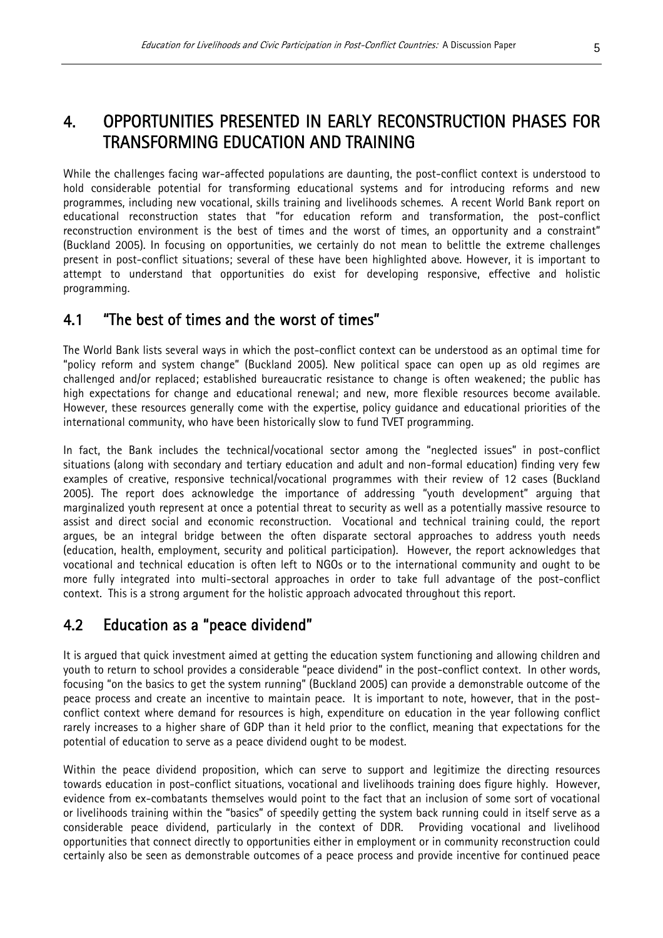# 4. OPPORTUNITIES PRESENTED IN EARLY RECONSTRUCTION PHASES FOR TRANSFORMING EDUCATION AND TRAINING

While the challenges facing war-affected populations are daunting, the post-conflict context is understood to hold considerable potential for transforming educational systems and for introducing reforms and new programmes, including new vocational, skills training and livelihoods schemes. A recent World Bank report on educational reconstruction states that "for education reform and transformation, the post-conflict reconstruction environment is the best of times and the worst of times, an opportunity and a constraint" (Buckland 2005). In focusing on opportunities, we certainly do not mean to belittle the extreme challenges present in post-conflict situations; several of these have been highlighted above. However, it is important to attempt to understand that opportunities do exist for developing responsive, effective and holistic programming.

## 4.1 "The best of times and the worst of times"

The World Bank lists several ways in which the post-conflict context can be understood as an optimal time for "policy reform and system change" (Buckland 2005). New political space can open up as old regimes are challenged and/or replaced; established bureaucratic resistance to change is often weakened; the public has high expectations for change and educational renewal; and new, more flexible resources become available. However, these resources generally come with the expertise, policy guidance and educational priorities of the international community, who have been historically slow to fund TVET programming.

In fact, the Bank includes the technical/vocational sector among the "neglected issues" in post-conflict situations (along with secondary and tertiary education and adult and non-formal education) finding very few examples of creative, responsive technical/vocational programmes with their review of 12 cases (Buckland 2005). The report does acknowledge the importance of addressing "youth development" arguing that marginalized youth represent at once a potential threat to security as well as a potentially massive resource to assist and direct social and economic reconstruction. Vocational and technical training could, the report argues, be an integral bridge between the often disparate sectoral approaches to address youth needs (education, health, employment, security and political participation). However, the report acknowledges that vocational and technical education is often left to NGOs or to the international community and ought to be more fully integrated into multi-sectoral approaches in order to take full advantage of the post-conflict context. This is a strong argument for the holistic approach advocated throughout this report.

# 4.2 Education as a "peace dividend"

It is argued that quick investment aimed at getting the education system functioning and allowing children and youth to return to school provides a considerable "peace dividend" in the post-conflict context. In other words, focusing "on the basics to get the system running" (Buckland 2005) can provide a demonstrable outcome of the peace process and create an incentive to maintain peace. It is important to note, however, that in the postconflict context where demand for resources is high, expenditure on education in the year following conflict rarely increases to a higher share of GDP than it held prior to the conflict, meaning that expectations for the potential of education to serve as a peace dividend ought to be modest.

Within the peace dividend proposition, which can serve to support and legitimize the directing resources towards education in post-conflict situations, vocational and livelihoods training does figure highly. However, evidence from ex-combatants themselves would point to the fact that an inclusion of some sort of vocational or livelihoods training within the "basics" of speedily getting the system back running could in itself serve as a considerable peace dividend, particularly in the context of DDR. Providing vocational and livelihood opportunities that connect directly to opportunities either in employment or in community reconstruction could certainly also be seen as demonstrable outcomes of a peace process and provide incentive for continued peace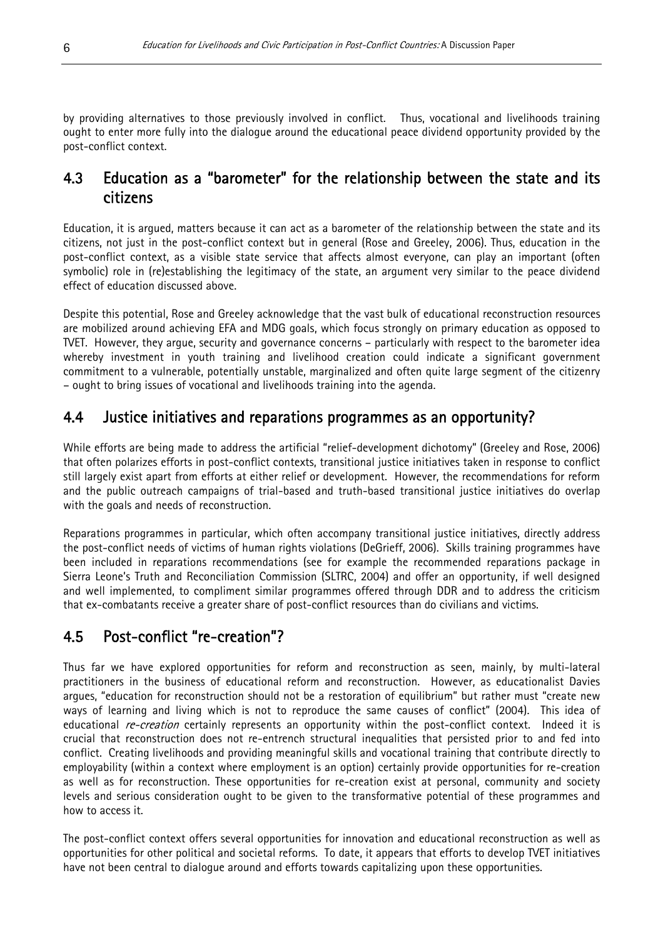by providing alternatives to those previously involved in conflict. Thus, vocational and livelihoods training ought to enter more fully into the dialogue around the educational peace dividend opportunity provided by the post-conflict context.

# 4.3 Education as a "barometer" for the relationship between the state and its citizens

Education, it is argued, matters because it can act as a barometer of the relationship between the state and its citizens, not just in the post-conflict context but in general (Rose and Greeley, 2006). Thus, education in the post-conflict context, as a visible state service that affects almost everyone, can play an important (often symbolic) role in (re)establishing the legitimacy of the state, an argument very similar to the peace dividend effect of education discussed above.

Despite this potential, Rose and Greeley acknowledge that the vast bulk of educational reconstruction resources are mobilized around achieving EFA and MDG goals, which focus strongly on primary education as opposed to TVET. However, they argue, security and governance concerns – particularly with respect to the barometer idea whereby investment in youth training and livelihood creation could indicate a significant government commitment to a vulnerable, potentially unstable, marginalized and often quite large segment of the citizenry – ought to bring issues of vocational and livelihoods training into the agenda.

# 4.4 Justice initiatives and reparations programmes as an opportunity?

While efforts are being made to address the artificial "relief-development dichotomy" (Greeley and Rose, 2006) that often polarizes efforts in post-conflict contexts, transitional justice initiatives taken in response to conflict still largely exist apart from efforts at either relief or development. However, the recommendations for reform and the public outreach campaigns of trial-based and truth-based transitional justice initiatives do overlap with the goals and needs of reconstruction.

Reparations programmes in particular, which often accompany transitional justice initiatives, directly address the post-conflict needs of victims of human rights violations (DeGrieff, 2006). Skills training programmes have been included in reparations recommendations (see for example the recommended reparations package in Sierra Leone's Truth and Reconciliation Commission (SLTRC, 2004) and offer an opportunity, if well designed and well implemented, to compliment similar programmes offered through DDR and to address the criticism that ex-combatants receive a greater share of post-conflict resources than do civilians and victims.

# 4.5 Post-conflict "re-creation"?

educational *re-creation* certainly represents an opportunity within the post-conflict context. Indeed it is Thus far we have explored opportunities for reform and reconstruction as seen, mainly, by multi-lateral practitioners in the business of educational reform and reconstruction. However, as educationalist Davies argues, "education for reconstruction should not be a restoration of equilibrium" but rather must "create new ways of learning and living which is not to reproduce the same causes of conflict" (2004). This idea of crucial that reconstruction does not re-entrench structural inequalities that persisted prior to and fed into conflict. Creating livelihoods and providing meaningful skills and vocational training that contribute directly to employability (within a context where employment is an option) certainly provide opportunities for re-creation as well as for reconstruction. These opportunities for re-creation exist at personal, community and society levels and serious consideration ought to be given to the transformative potential of these programmes and how to access it.

The post-conflict context offers several opportunities for innovation and educational reconstruction as well as opportunities for other political and societal reforms. To date, it appears that efforts to develop TVET initiatives have not been central to dialogue around and efforts towards capitalizing upon these opportunities.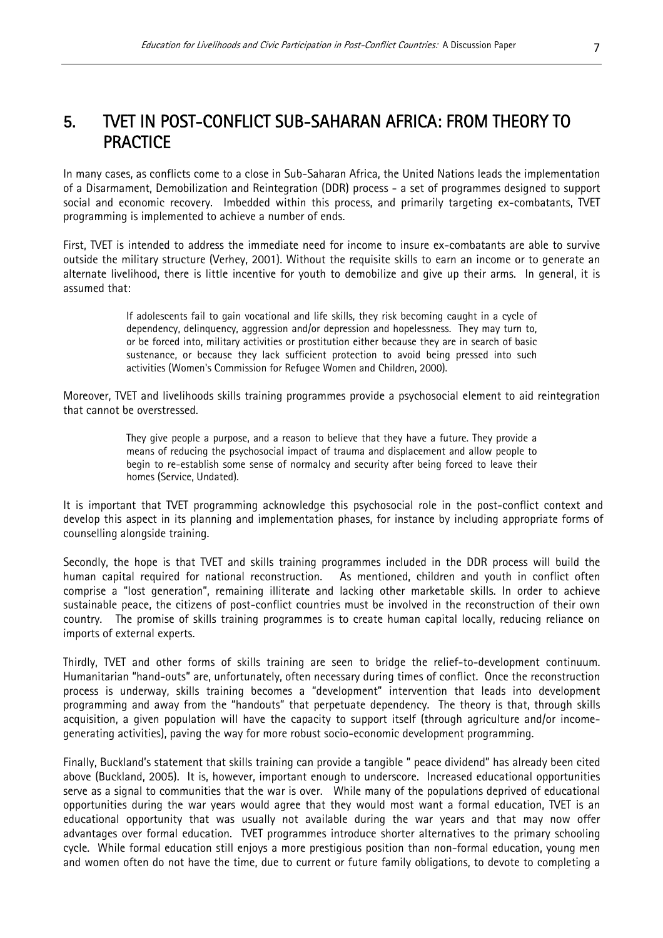In many cases, as conflicts come to a close in Sub-Saharan Africa, the United Nations leads the implementation of a Disarmament, Demobilization and Reintegration (DDR) process - a set of programmes designed to support social and economic recovery. Imbedded within this process, and primarily targeting ex-combatants, TVET programming is implemented to achieve a number of ends.

First, TVET is intended to address the immediate need for income to insure ex-combatants are able to survive outside the military structure (Verhey, 2001). Without the requisite skills to earn an income or to generate an alternate livelihood, there is little incentive for youth to demobilize and give up their arms. In general, it is assumed that:

> If adolescents fail to gain vocational and life skills, they risk becoming caught in a cycle of dependency, delinquency, aggression and/or depression and hopelessness. They may turn to, or be forced into, military activities or prostitution either because they are in search of basic sustenance, or because they lack sufficient protection to avoid being pressed into such activities (Women's Commission for Refugee Women and Children, 2000).

Moreover, TVET and livelihoods skills training programmes provide a psychosocial element to aid reintegration that cannot be overstressed.

> They give people a purpose, and a reason to believe that they have a future. They provide a means of reducing the psychosocial impact of trauma and displacement and allow people to begin to re-establish some sense of normalcy and security after being forced to leave their homes (Service, Undated).

It is important that TVET programming acknowledge this psychosocial role in the post-conflict context and develop this aspect in its planning and implementation phases, for instance by including appropriate forms of counselling alongside training.

Secondly, the hope is that TVET and skills training programmes included in the DDR process will build the human capital required for national reconstruction. As mentioned, children and youth in conflict often comprise a "lost generation", remaining illiterate and lacking other marketable skills. In order to achieve sustainable peace, the citizens of post-conflict countries must be involved in the reconstruction of their own country. The promise of skills training programmes is to create human capital locally, reducing reliance on imports of external experts.

Thirdly, TVET and other forms of skills training are seen to bridge the relief-to-development continuum. Humanitarian "hand-outs" are, unfortunately, often necessary during times of conflict. Once the reconstruction process is underway, skills training becomes a "development" intervention that leads into development programming and away from the "handouts" that perpetuate dependency. The theory is that, through skills acquisition, a given population will have the capacity to support itself (through agriculture and/or incomegenerating activities), paving the way for more robust socio-economic development programming.

Finally, Buckland's statement that skills training can provide a tangible " peace dividend" has already been cited above (Buckland, 2005). It is, however, important enough to underscore. Increased educational opportunities serve as a signal to communities that the war is over. While many of the populations deprived of educational opportunities during the war years would agree that they would most want a formal education, TVET is an educational opportunity that was usually not available during the war years and that may now offer advantages over formal education. TVET programmes introduce shorter alternatives to the primary schooling cycle. While formal education still enjoys a more prestigious position than non-formal education, young men and women often do not have the time, due to current or future family obligations, to devote to completing a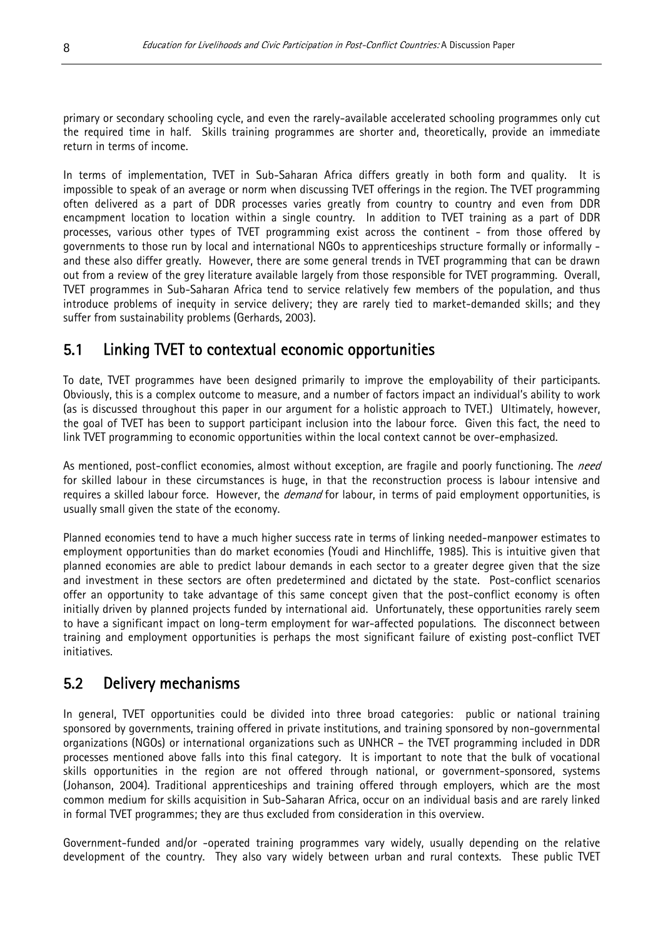primary or secondary schooling cycle, and even the rarely-available accelerated schooling programmes only cut the required time in half. Skills training programmes are shorter and, theoretically, provide an immediate return in terms of income.

In terms of implementation, TVET in Sub-Saharan Africa differs greatly in both form and quality. It is impossible to speak of an average or norm when discussing TVET offerings in the region. The TVET programming often delivered as a part of DDR processes varies greatly from country to country and even from DDR encampment location to location within a single country. In addition to TVET training as a part of DDR processes, various other types of TVET programming exist across the continent - from those offered by governments to those run by local and international NGOs to apprenticeships structure formally or informally and these also differ greatly. However, there are some general trends in TVET programming that can be drawn out from a review of the grey literature available largely from those responsible for TVET programming. Overall, TVET programmes in Sub-Saharan Africa tend to service relatively few members of the population, and thus introduce problems of inequity in service delivery; they are rarely tied to market-demanded skills; and they suffer from sustainability problems (Gerhards, 2003).

# 5.1 Linking TVET to contextual economic opportunities

To date, TVET programmes have been designed primarily to improve the employability of their participants. Obviously, this is a complex outcome to measure, and a number of factors impact an individual's ability to work (as is discussed throughout this paper in our argument for a holistic approach to TVET.) Ultimately, however, the goal of TVET has been to support participant inclusion into the labour force. Given this fact, the need to link TVET programming to economic opportunities within the local context cannot be over-emphasized.

As mentioned, post-conflict economies, almost without exception, are fragile and poorly functioning. The need for skilled labour in these circumstances is huge, in that the reconstruction process is labour intensive and requires a skilled labour force. However, the *demand* for labour, in terms of paid employment opportunities, is usually small given the state of the economy.

Planned economies tend to have a much higher success rate in terms of linking needed-manpower estimates to employment opportunities than do market economies (Youdi and Hinchliffe, 1985). This is intuitive given that planned economies are able to predict labour demands in each sector to a greater degree given that the size and investment in these sectors are often predetermined and dictated by the state. Post-conflict scenarios offer an opportunity to take advantage of this same concept given that the post-conflict economy is often initially driven by planned projects funded by international aid. Unfortunately, these opportunities rarely seem to have a significant impact on long-term employment for war-affected populations. The disconnect between training and employment opportunities is perhaps the most significant failure of existing post-conflict TVET initiatives.

# 5.2 Delivery mechanisms

In general, TVET opportunities could be divided into three broad categories: public or national training sponsored by governments, training offered in private institutions, and training sponsored by non-governmental organizations (NGOs) or international organizations such as UNHCR – the TVET programming included in DDR processes mentioned above falls into this final category. It is important to note that the bulk of vocational skills opportunities in the region are not offered through national, or government-sponsored, systems (Johanson, 2004). Traditional apprenticeships and training offered through employers, which are the most common medium for skills acquisition in Sub-Saharan Africa, occur on an individual basis and are rarely linked in formal TVET programmes; they are thus excluded from consideration in this overview.

Government-funded and/or -operated training programmes vary widely, usually depending on the relative development of the country. They also vary widely between urban and rural contexts. These public TVET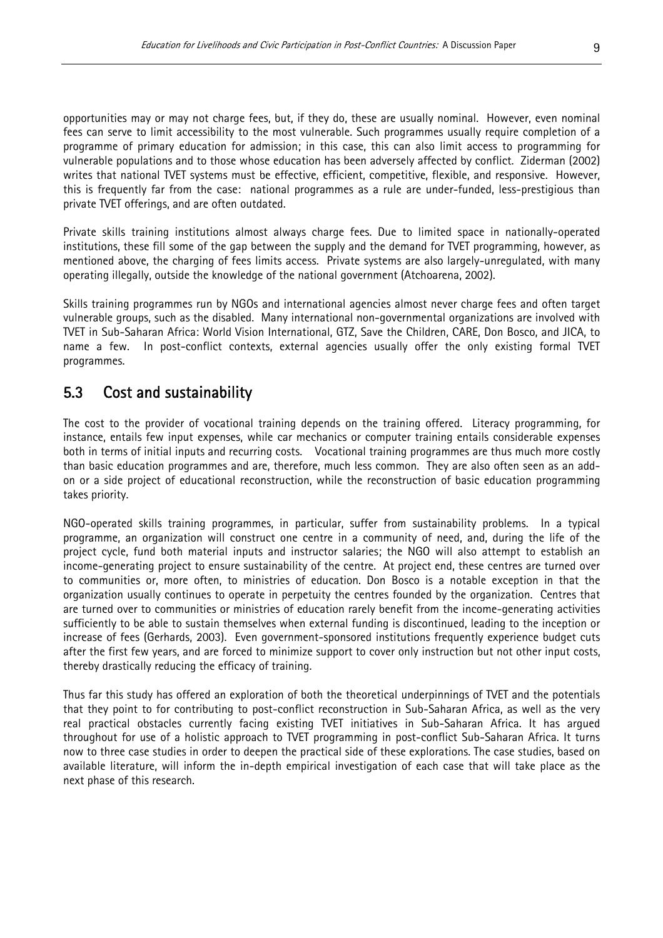opportunities may or may not charge fees, but, if they do, these are usually nominal. However, even nominal fees can serve to limit accessibility to the most vulnerable. Such programmes usually require completion of a programme of primary education for admission; in this case, this can also limit access to programming for vulnerable populations and to those whose education has been adversely affected by conflict. Ziderman (2002) writes that national TVET systems must be effective, efficient, competitive, flexible, and responsive. However, this is frequently far from the case: national programmes as a rule are under-funded, less-prestigious than private TVET offerings, and are often outdated.

Private skills training institutions almost always charge fees. Due to limited space in nationally-operated institutions, these fill some of the gap between the supply and the demand for TVET programming, however, as mentioned above, the charging of fees limits access. Private systems are also largely-unregulated, with many operating illegally, outside the knowledge of the national government (Atchoarena, 2002).

Skills training programmes run by NGOs and international agencies almost never charge fees and often target vulnerable groups, such as the disabled. Many international non-governmental organizations are involved with TVET in Sub-Saharan Africa: World Vision International, GTZ, Save the Children, CARE, Don Bosco, and JICA, to name a few. In post-conflict contexts, external agencies usually offer the only existing formal TVET programmes.

### 5.3 Cost and sustainability

The cost to the provider of vocational training depends on the training offered. Literacy programming, for instance, entails few input expenses, while car mechanics or computer training entails considerable expenses both in terms of initial inputs and recurring costs. Vocational training programmes are thus much more costly than basic education programmes and are, therefore, much less common. They are also often seen as an addon or a side project of educational reconstruction, while the reconstruction of basic education programming takes priority.

NGO-operated skills training programmes, in particular, suffer from sustainability problems. In a typical programme, an organization will construct one centre in a community of need, and, during the life of the project cycle, fund both material inputs and instructor salaries; the NGO will also attempt to establish an income-generating project to ensure sustainability of the centre. At project end, these centres are turned over to communities or, more often, to ministries of education. Don Bosco is a notable exception in that the organization usually continues to operate in perpetuity the centres founded by the organization. Centres that are turned over to communities or ministries of education rarely benefit from the income-generating activities sufficiently to be able to sustain themselves when external funding is discontinued, leading to the inception or increase of fees (Gerhards, 2003). Even government-sponsored institutions frequently experience budget cuts after the first few years, and are forced to minimize support to cover only instruction but not other input costs, thereby drastically reducing the efficacy of training.

Thus far this study has offered an exploration of both the theoretical underpinnings of TVET and the potentials that they point to for contributing to post-conflict reconstruction in Sub-Saharan Africa, as well as the very real practical obstacles currently facing existing TVET initiatives in Sub-Saharan Africa. It has argued throughout for use of a holistic approach to TVET programming in post-conflict Sub-Saharan Africa. It turns now to three case studies in order to deepen the practical side of these explorations. The case studies, based on available literature, will inform the in-depth empirical investigation of each case that will take place as the next phase of this research.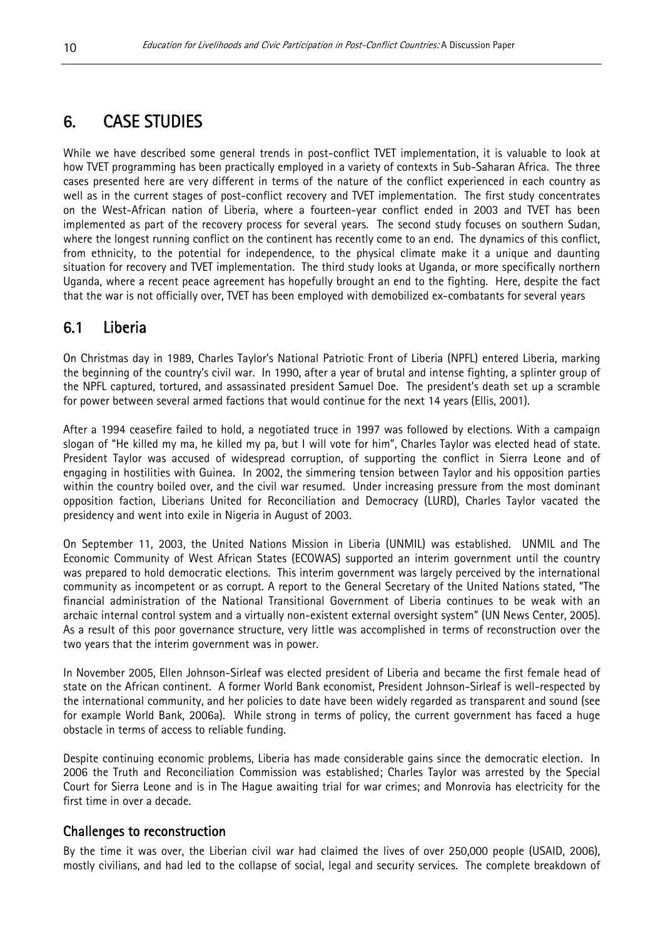# 6. CASE STUDIES

While we have described some general trends in post-conflict TVET implementation, it is valuable to look at how TVET programming has been practically employed in a variety of contexts in Sub-Saharan Africa. The three cases presented here are very different in terms of the nature of the conflict experienced in each country as well as in the current stages of post-conflict recovery and TVET implementation. The first study concentrates on the West-African nation of Liberia, where a fourteen-year conflict ended in 2003 and TVET has been implemented as part of the recovery process for several years. The second study focuses on southern Sudan, where the longest running conflict on the continent has recently come to an end. The dynamics of this conflict, from ethnicity, to the potential for independence, to the physical climate make it a unique and daunting situation for recovery and TVET implementation. The third study looks at Uganda, or more specifically northern Uganda, where a recent peace agreement has hopefully brought an end to the fighting. Here, despite the fact that the war is not officially over, TVET has been employed with demobilized ex-combatants for several years

# 6.1 Liberia

On Christmas day in 1989, Charles Taylor's National Patriotic Front of Liberia (NPFL) entered Liberia, marking the beginning of the country's civil war. In 1990, after a year of brutal and intense fighting, a splinter group of the NPFL captured, tortured, and assassinated president Samuel Doe. The president's death set up a scramble for power between several armed factions that would continue for the next 14 years (Ellis, 2001).

After a 1994 ceasefire failed to hold, a negotiated truce in 1997 was followed by elections. With a campaign slogan of "He killed my ma, he killed my pa, but I will vote for him", Charles Taylor was elected head of state. President Taylor was accused of widespread corruption, of supporting the conflict in Sierra Leone and of engaging in hostilities with Guinea. In 2002, the simmering tension between Taylor and his opposition parties within the country boiled over, and the civil war resumed. Under increasing pressure from the most dominant opposition faction, Liberians United for Reconciliation and Democracy (LURD), Charles Taylor vacated the presidency and went into exile in Nigeria in August of 2003.

On September 11, 2003, the United Nations Mission in Liberia (UNMIL) was established. UNMIL and The Economic Community of West African States (ECOWAS) supported an interim government until the country was prepared to hold democratic elections. This interim government was largely perceived by the international community as incompetent or as corrupt. A report to the General Secretary of the United Nations stated, "The financial administration of the National Transitional Government of Liberia continues to be weak with an archaic internal control system and a virtually non-existent external oversight system" (UN News Center, 2005). As a result of this poor governance structure, very little was accomplished in terms of reconstruction over the two years that the interim government was in power.

In November 2005, Ellen Johnson-Sirleaf was elected president of Liberia and became the first female head of state on the African continent. A former World Bank economist, President Johnson-Sirleaf is well-respected by the international community, and her policies to date have been widely regarded as transparent and sound (see for example World Bank, 2006a). While strong in terms of policy, the current government has faced a huge obstacle in terms of access to reliable funding.

Despite continuing economic problems, Liberia has made considerable gains since the democratic election. In 2006 the Truth and Reconciliation Commission was established; Charles Taylor was arrested by the Special Court for Sierra Leone and is in The Hague awaiting trial for war crimes; and Monrovia has electricity for the first time in over a decade.

#### Challenges to reconstruction

By the time it was over, the Liberian civil war had claimed the lives of over 250,000 people (USAID, 2006), mostly civilians, and had led to the collapse of social, legal and security services. The complete breakdown of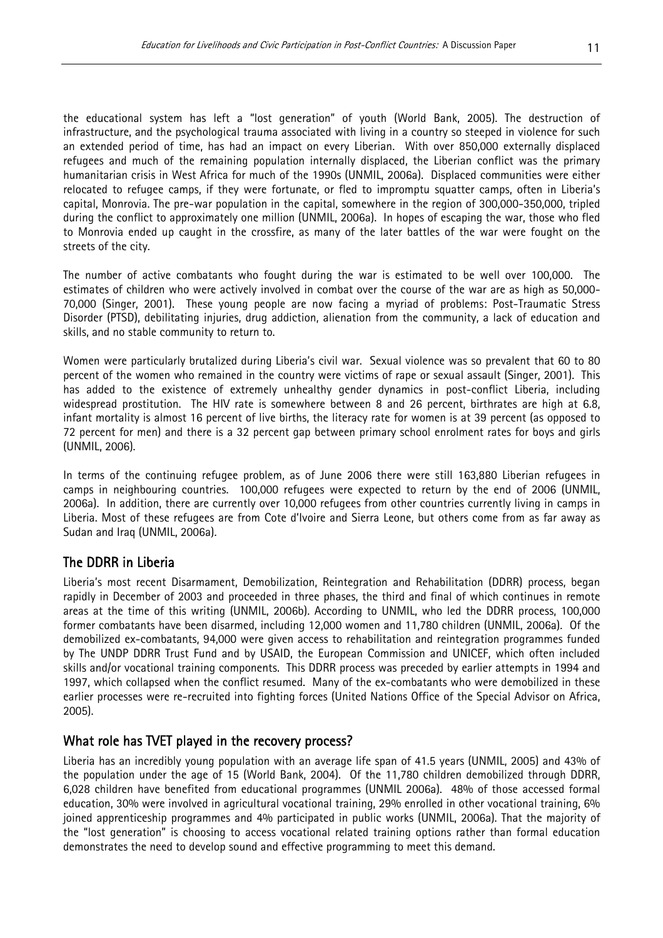the educational system has left a "lost generation" of youth (World Bank, 2005). The destruction of infrastructure, and the psychological trauma associated with living in a country so steeped in violence for such an extended period of time, has had an impact on every Liberian. With over 850,000 externally displaced refugees and much of the remaining population internally displaced, the Liberian conflict was the primary humanitarian crisis in West Africa for much of the 1990s (UNMIL, 2006a). Displaced communities were either relocated to refugee camps, if they were fortunate, or fled to impromptu squatter camps, often in Liberia's capital, Monrovia. The pre-war population in the capital, somewhere in the region of 300,000-350,000, tripled during the conflict to approximately one million (UNMIL, 2006a). In hopes of escaping the war, those who fled to Monrovia ended up caught in the crossfire, as many of the later battles of the war were fought on the streets of the city.

The number of active combatants who fought during the war is estimated to be well over 100,000. The estimates of children who were actively involved in combat over the course of the war are as high as 50,000- 70,000 (Singer, 2001). These young people are now facing a myriad of problems: Post-Traumatic Stress Disorder (PTSD), debilitating injuries, drug addiction, alienation from the community, a lack of education and skills, and no stable community to return to.

Women were particularly brutalized during Liberia's civil war. Sexual violence was so prevalent that 60 to 80 percent of the women who remained in the country were victims of rape or sexual assault (Singer, 2001). This has added to the existence of extremely unhealthy gender dynamics in post-conflict Liberia, including widespread prostitution. The HIV rate is somewhere between 8 and 26 percent, birthrates are high at 6.8, infant mortality is almost 16 percent of live births, the literacy rate for women is at 39 percent (as opposed to 72 percent for men) and there is a 32 percent gap between primary school enrolment rates for boys and girls (UNMIL, 2006).

In terms of the continuing refugee problem, as of June 2006 there were still 163,880 Liberian refugees in camps in neighbouring countries. 100,000 refugees were expected to return by the end of 2006 (UNMIL, 2006a). In addition, there are currently over 10,000 refugees from other countries currently living in camps in Liberia. Most of these refugees are from Cote d'Ivoire and Sierra Leone, but others come from as far away as Sudan and Iraq (UNMIL, 2006a).

### The DDRR in Liberia

Liberia's most recent Disarmament, Demobilization, Reintegration and Rehabilitation (DDRR) process, began rapidly in December of 2003 and proceeded in three phases, the third and final of which continues in remote areas at the time of this writing (UNMIL, 2006b). According to UNMIL, who led the DDRR process, 100,000 former combatants have been disarmed, including 12,000 women and 11,780 children (UNMIL, 2006a). Of the demobilized ex-combatants, 94,000 were given access to rehabilitation and reintegration programmes funded by The UNDP DDRR Trust Fund and by USAID, the European Commission and UNICEF, which often included skills and/or vocational training components. This DDRR process was preceded by earlier attempts in 1994 and 1997, which collapsed when the conflict resumed. Many of the ex-combatants who were demobilized in these earlier processes were re-recruited into fighting forces (United Nations Office of the Special Advisor on Africa, 2005).

#### What role has TVET played in the recovery process?

Liberia has an incredibly young population with an average life span of 41.5 years (UNMIL, 2005) and 43% of the population under the age of 15 (World Bank, 2004). Of the 11,780 children demobilized through DDRR, 6,028 children have benefited from educational programmes (UNMIL 2006a). 48% of those accessed formal education, 30% were involved in agricultural vocational training, 29% enrolled in other vocational training, 6% joined apprenticeship programmes and 4% participated in public works (UNMIL, 2006a). That the majority of the "lost generation" is choosing to access vocational related training options rather than formal education demonstrates the need to develop sound and effective programming to meet this demand.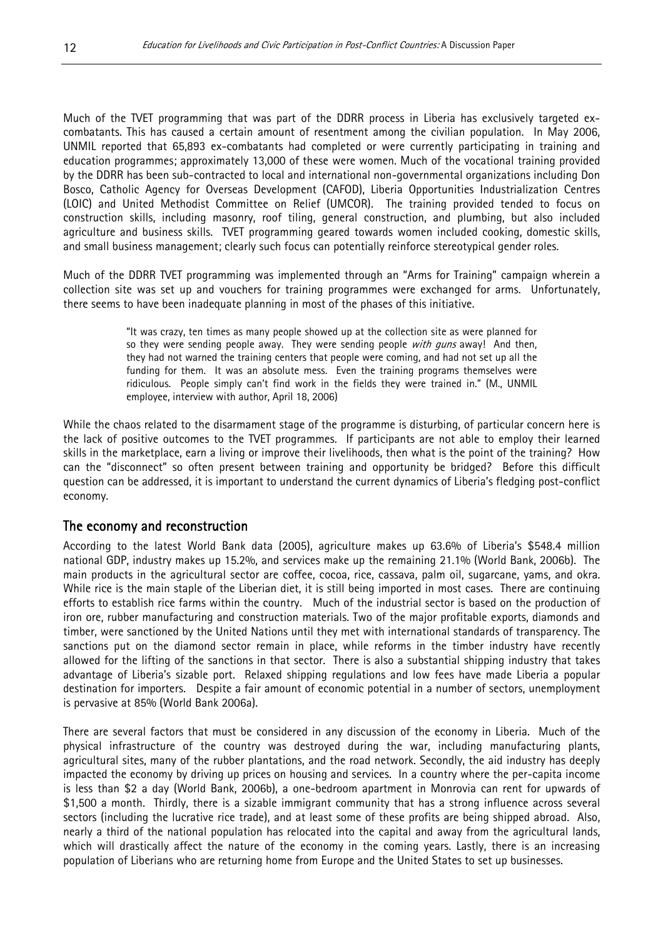Much of the TVET programming that was part of the DDRR process in Liberia has exclusively targeted excombatants. This has caused a certain amount of resentment among the civilian population. In May 2006, UNMIL reported that 65,893 ex-combatants had completed or were currently participating in training and education programmes; approximately 13,000 of these were women. Much of the vocational training provided by the DDRR has been sub-contracted to local and international non-governmental organizations including Don Bosco, Catholic Agency for Overseas Development (CAFOD), Liberia Opportunities Industrialization Centres (LOIC) and United Methodist Committee on Relief (UMCOR). The training provided tended to focus on construction skills, including masonry, roof tiling, general construction, and plumbing, but also included agriculture and business skills. TVET programming geared towards women included cooking, domestic skills, and small business management; clearly such focus can potentially reinforce stereotypical gender roles.

Much of the DDRR TVET programming was implemented through an "Arms for Training" campaign wherein a collection site was set up and vouchers for training programmes were exchanged for arms. Unfortunately, there seems to have been inadequate planning in most of the phases of this initiative.

> "It was crazy, ten times as many people showed up at the collection site as were planned for so they were sending people away. They were sending people with guns away! And then, they had not warned the training centers that people were coming, and had not set up all the funding for them. It was an absolute mess. Even the training programs themselves were ridiculous. People simply can't find work in the fields they were trained in." (M., UNMIL employee, interview with author, April 18, 2006)

While the chaos related to the disarmament stage of the programme is disturbing, of particular concern here is the lack of positive outcomes to the TVET programmes. If participants are not able to employ their learned skills in the marketplace, earn a living or improve their livelihoods, then what is the point of the training? How can the "disconnect" so often present between training and opportunity be bridged? Before this difficult question can be addressed, it is important to understand the current dynamics of Liberia's fledging post-conflict economy.

#### The economy and reconstruction

According to the latest World Bank data (2005), agriculture makes up 63.6% of Liberia's \$548.4 million national GDP, industry makes up 15.2%, and services make up the remaining 21.1% (World Bank, 2006b). The main products in the agricultural sector are coffee, cocoa, rice, cassava, palm oil, sugarcane, yams, and okra. While rice is the main staple of the Liberian diet, it is still being imported in most cases. There are continuing efforts to establish rice farms within the country. Much of the industrial sector is based on the production of iron ore, rubber manufacturing and construction materials. Two of the major profitable exports, diamonds and timber, were sanctioned by the United Nations until they met with international standards of transparency. The sanctions put on the diamond sector remain in place, while reforms in the timber industry have recently allowed for the lifting of the sanctions in that sector. There is also a substantial shipping industry that takes advantage of Liberia's sizable port. Relaxed shipping regulations and low fees have made Liberia a popular destination for importers. Despite a fair amount of economic potential in a number of sectors, unemployment is pervasive at 85% (World Bank 2006a).

There are several factors that must be considered in any discussion of the economy in Liberia. Much of the physical infrastructure of the country was destroyed during the war, including manufacturing plants, agricultural sites, many of the rubber plantations, and the road network. Secondly, the aid industry has deeply impacted the economy by driving up prices on housing and services. In a country where the per-capita income is less than \$2 a day (World Bank, 2006b), a one-bedroom apartment in Monrovia can rent for upwards of \$1,500 a month. Thirdly, there is a sizable immigrant community that has a strong influence across several sectors (including the lucrative rice trade), and at least some of these profits are being shipped abroad. Also, nearly a third of the national population has relocated into the capital and away from the agricultural lands, which will drastically affect the nature of the economy in the coming years. Lastly, there is an increasing population of Liberians who are returning home from Europe and the United States to set up businesses.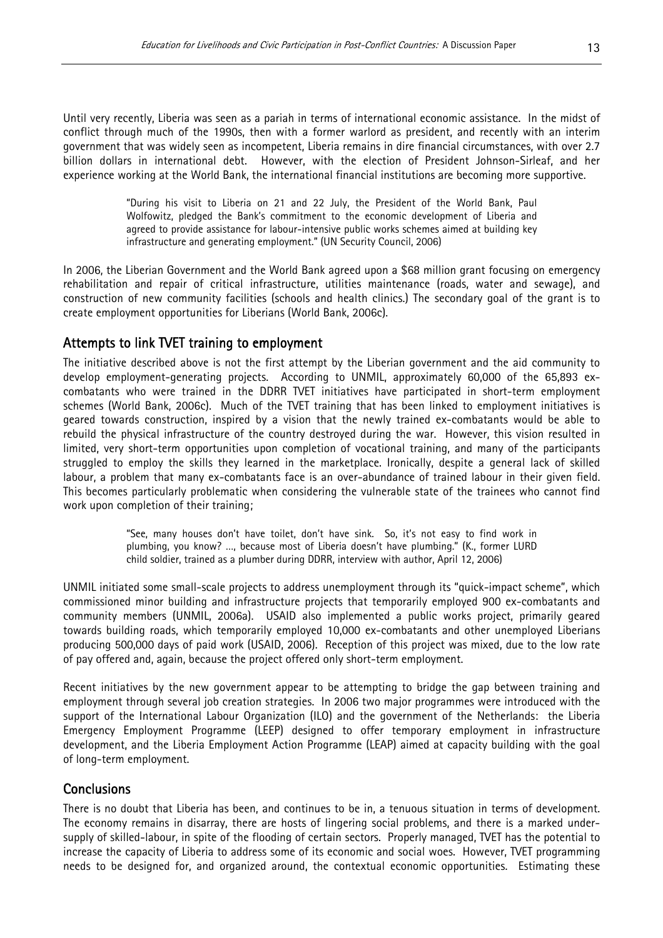Until very recently, Liberia was seen as a pariah in terms of international economic assistance. In the midst of conflict through much of the 1990s, then with a former warlord as president, and recently with an interim government that was widely seen as incompetent, Liberia remains in dire financial circumstances, with over 2.7 billion dollars in international debt. However, with the election of President Johnson-Sirleaf, and her experience working at the World Bank, the international financial institutions are becoming more supportive.

> "During his visit to Liberia on 21 and 22 July, the President of the World Bank, Paul Wolfowitz, pledged the Bank's commitment to the economic development of Liberia and agreed to provide assistance for labour-intensive public works schemes aimed at building key infrastructure and generating employment." (UN Security Council, 2006)

In 2006, the Liberian Government and the World Bank agreed upon a \$68 million grant focusing on emergency rehabilitation and repair of critical infrastructure, utilities maintenance (roads, water and sewage), and construction of new community facilities (schools and health clinics.) The secondary goal of the grant is to create employment opportunities for Liberians (World Bank, 2006c).

#### Attempts to link TVET training to employment

The initiative described above is not the first attempt by the Liberian government and the aid community to develop employment-generating projects. According to UNMIL, approximately 60,000 of the 65,893 excombatants who were trained in the DDRR TVET initiatives have participated in short-term employment schemes (World Bank, 2006c). Much of the TVET training that has been linked to employment initiatives is geared towards construction, inspired by a vision that the newly trained ex-combatants would be able to rebuild the physical infrastructure of the country destroyed during the war. However, this vision resulted in limited, very short-term opportunities upon completion of vocational training, and many of the participants struggled to employ the skills they learned in the marketplace. Ironically, despite a general lack of skilled labour, a problem that many ex-combatants face is an over-abundance of trained labour in their given field. This becomes particularly problematic when considering the vulnerable state of the trainees who cannot find work upon completion of their training;

> "See, many houses don't have toilet, don't have sink. So, it's not easy to find work in plumbing, you know? …, because most of Liberia doesn't have plumbing." (K., former LURD child soldier, trained as a plumber during DDRR, interview with author, April 12, 2006)

UNMIL initiated some small-scale projects to address unemployment through its "quick-impact scheme", which commissioned minor building and infrastructure projects that temporarily employed 900 ex-combatants and community members (UNMIL, 2006a). USAID also implemented a public works project, primarily geared towards building roads, which temporarily employed 10,000 ex-combatants and other unemployed Liberians producing 500,000 days of paid work (USAID, 2006). Reception of this project was mixed, due to the low rate of pay offered and, again, because the project offered only short-term employment.

Recent initiatives by the new government appear to be attempting to bridge the gap between training and employment through several job creation strategies. In 2006 two major programmes were introduced with the support of the International Labour Organization (ILO) and the government of the Netherlands: the Liberia Emergency Employment Programme (LEEP) designed to offer temporary employment in infrastructure development, and the Liberia Employment Action Programme (LEAP) aimed at capacity building with the goal of long-term employment.

#### **Conclusions**

There is no doubt that Liberia has been, and continues to be in, a tenuous situation in terms of development. The economy remains in disarray, there are hosts of lingering social problems, and there is a marked undersupply of skilled-labour, in spite of the flooding of certain sectors. Properly managed, TVET has the potential to increase the capacity of Liberia to address some of its economic and social woes. However, TVET programming needs to be designed for, and organized around, the contextual economic opportunities. Estimating these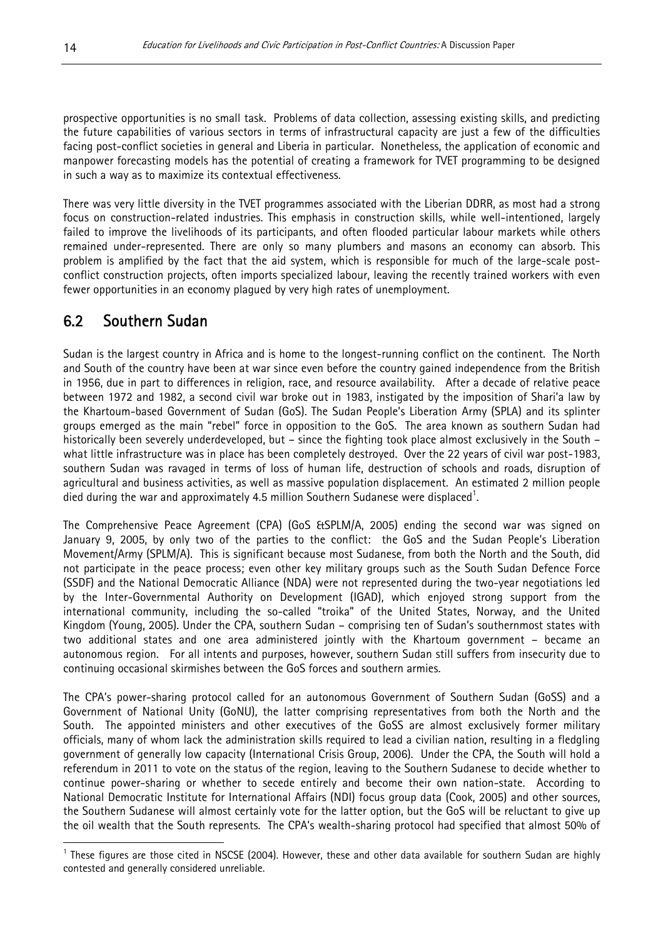prospective opportunities is no small task. Problems of data collection, assessing existing skills, and predicting the future capabilities of various sectors in terms of infrastructural capacity are just a few of the difficulties facing post-conflict societies in general and Liberia in particular. Nonetheless, the application of economic and manpower forecasting models has the potential of creating a framework for TVET programming to be designed in such a way as to maximize its contextual effectiveness.

There was very little diversity in the TVET programmes associated with the Liberian DDRR, as most had a strong focus on construction-related industries. This emphasis in construction skills, while well-intentioned, largely failed to improve the livelihoods of its participants, and often flooded particular labour markets while others remained under-represented. There are only so many plumbers and masons an economy can absorb. This problem is amplified by the fact that the aid system, which is responsible for much of the large-scale postconflict construction projects, often imports specialized labour, leaving the recently trained workers with even fewer opportunities in an economy plagued by very high rates of unemployment.

# 6.2 Southern Sudan

Sudan is the largest country in Africa and is home to the longest-running conflict on the continent. The North and South of the country have been at war since even before the country gained independence from the British in 1956, due in part to differences in religion, race, and resource availability. After a decade of relative peace between 1972 and 1982, a second civil war broke out in 1983, instigated by the imposition of Shari'a law by the Khartoum-based Government of Sudan (GoS). The Sudan People's Liberation Army (SPLA) and its splinter groups emerged as the main "rebel" force in opposition to the GoS. The area known as southern Sudan had historically been severely underdeveloped, but – since the fighting took place almost exclusively in the South – what little infrastructure was in place has been completely destroyed. Over the 22 years of civil war post-1983, southern Sudan was ravaged in terms of loss of human life, destruction of schools and roads, disruption of agricultural and business activities, as well as massive population displacement. An estimated 2 million people died during the war and approximately 4.5 million Southern Sudanese were displaced<sup>1</sup>.

The Comprehensive Peace Agreement (CPA) (GoS &SPLM/A, 2005) ending the second war was signed on January 9, 2005, by only two of the parties to the conflict: the GoS and the Sudan People's Liberation Movement/Army (SPLM/A). This is significant because most Sudanese, from both the North and the South, did not participate in the peace process; even other key military groups such as the South Sudan Defence Force (SSDF) and the National Democratic Alliance (NDA) were not represented during the two-year negotiations led by the Inter-Governmental Authority on Development (IGAD), which enjoyed strong support from the international community, including the so-called "troika" of the United States, Norway, and the United Kingdom (Young, 2005). Under the CPA, southern Sudan – comprising ten of Sudan's southernmost states with two additional states and one area administered jointly with the Khartoum government – became an autonomous region. For all intents and purposes, however, southern Sudan still suffers from insecurity due to continuing occasional skirmishes between the GoS forces and southern armies.

The CPA's power-sharing protocol called for an autonomous Government of Southern Sudan (GoSS) and a Government of National Unity (GoNU), the latter comprising representatives from both the North and the South. The appointed ministers and other executives of the GoSS are almost exclusively former military officials, many of whom lack the administration skills required to lead a civilian nation, resulting in a fledgling government of generally low capacity (International Crisis Group, 2006). Under the CPA, the South will hold a referendum in 2011 to vote on the status of the region, leaving to the Southern Sudanese to decide whether to continue power-sharing or whether to secede entirely and become their own nation-state. According to National Democratic Institute for International Affairs (NDI) focus group data (Cook, 2005) and other sources, the Southern Sudanese will almost certainly vote for the latter option, but the GoS will be reluctant to give up the oil wealth that the South represents. The CPA's wealth-sharing protocol had specified that almost 50% of

 $\overline{a}$ 

 $1$  These figures are those cited in NSCSE (2004). However, these and other data available for southern Sudan are highly contested and generally considered unreliable.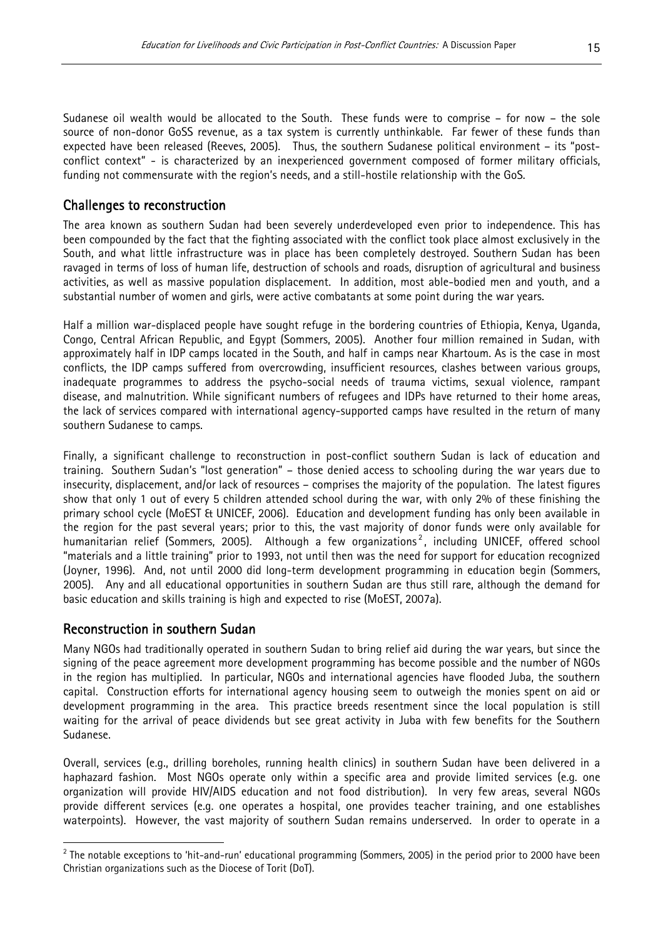Sudanese oil wealth would be allocated to the South. These funds were to comprise – for now – the sole source of non-donor GoSS revenue, as a tax system is currently unthinkable. Far fewer of these funds than expected have been released (Reeves, 2005). Thus, the southern Sudanese political environment – its "postconflict context" - is characterized by an inexperienced government composed of former military officials, funding not commensurate with the region's needs, and a still-hostile relationship with the GoS.

### Challenges to reconstruction

The area known as southern Sudan had been severely underdeveloped even prior to independence. This has been compounded by the fact that the fighting associated with the conflict took place almost exclusively in the South, and what little infrastructure was in place has been completely destroyed. Southern Sudan has been ravaged in terms of loss of human life, destruction of schools and roads, disruption of agricultural and business activities, as well as massive population displacement. In addition, most able-bodied men and youth, and a substantial number of women and girls, were active combatants at some point during the war years.

Half a million war-displaced people have sought refuge in the bordering countries of Ethiopia, Kenya, Uganda, Congo, Central African Republic, and Egypt (Sommers, 2005). Another four million remained in Sudan, with approximately half in IDP camps located in the South, and half in camps near Khartoum. As is the case in most conflicts, the IDP camps suffered from overcrowding, insufficient resources, clashes between various groups, inadequate programmes to address the psycho-social needs of trauma victims, sexual violence, rampant disease, and malnutrition. While significant numbers of refugees and IDPs have returned to their home areas, the lack of services compared with international agency-supported camps have resulted in the return of many southern Sudanese to camps.

Finally, a significant challenge to reconstruction in post-conflict southern Sudan is lack of education and training. Southern Sudan's "lost generation" – those denied access to schooling during the war years due to insecurity, displacement, and/or lack of resources – comprises the majority of the population. The latest figures show that only 1 out of every 5 children attended school during the war, with only 2% of these finishing the primary school cycle (MoEST & UNICEF, 2006). Education and development funding has only been available in the region for the past several years; prior to this, the vast majority of donor funds were only available for humanitarian relief (Sommers, 2005). Although a few organizations<sup>2</sup>, including UNICEF, offered school "materials and a little training" prior to 1993, not until then was the need for support for education recognized (Joyner, 1996). And, not until 2000 did long-term development programming in education begin (Sommers, 2005). Any and all educational opportunities in southern Sudan are thus still rare, although the demand for basic education and skills training is high and expected to rise (MoEST, 2007a).

#### Reconstruction in southern Sudan

 $\overline{a}$ 

Many NGOs had traditionally operated in southern Sudan to bring relief aid during the war years, but since the signing of the peace agreement more development programming has become possible and the number of NGOs in the region has multiplied. In particular, NGOs and international agencies have flooded Juba, the southern capital. Construction efforts for international agency housing seem to outweigh the monies spent on aid or development programming in the area. This practice breeds resentment since the local population is still waiting for the arrival of peace dividends but see great activity in Juba with few benefits for the Southern Sudanese.

Overall, services (e.g., drilling boreholes, running health clinics) in southern Sudan have been delivered in a haphazard fashion. Most NGOs operate only within a specific area and provide limited services (e.g. one organization will provide HIV/AIDS education and not food distribution). In very few areas, several NGOs provide different services (e.g. one operates a hospital, one provides teacher training, and one establishes waterpoints). However, the vast majority of southern Sudan remains underserved. In order to operate in a

 $^{\rm 2}$  The notable exceptions to 'hit-and-run' educational programming (Sommers, 2005) in the period prior to 2000 have been Christian organizations such as the Diocese of Torit (DoT).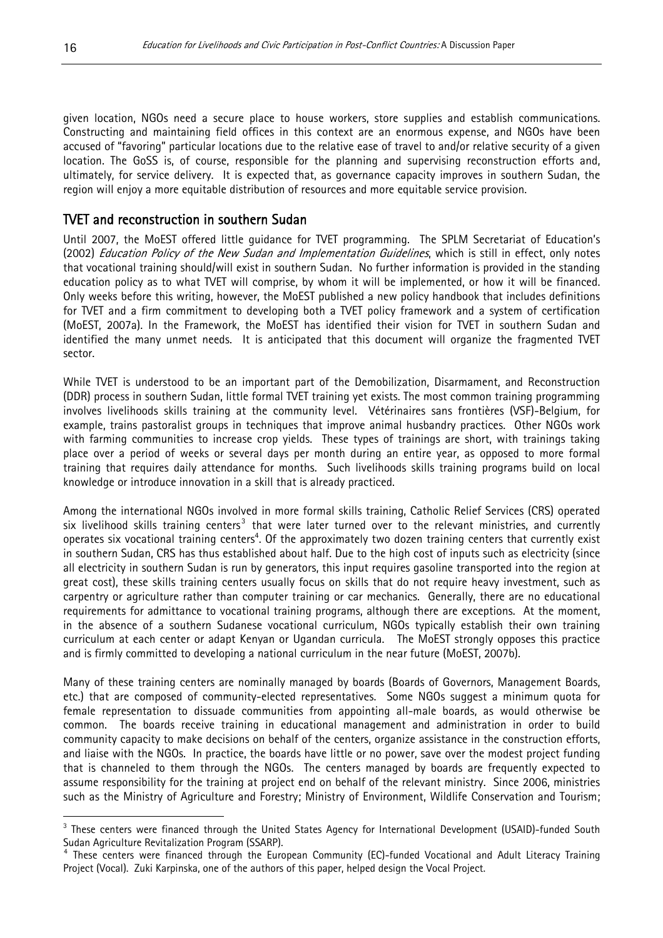given location, NGOs need a secure place to house workers, store supplies and establish communications. Constructing and maintaining field offices in this context are an enormous expense, and NGOs have been accused of "favoring" particular locations due to the relative ease of travel to and/or relative security of a given location. The GoSS is, of course, responsible for the planning and supervising reconstruction efforts and, ultimately, for service delivery. It is expected that, as governance capacity improves in southern Sudan, the region will enjoy a more equitable distribution of resources and more equitable service provision.

#### TVET and reconstruction in southern Sudan

Until 2007, the MoEST offered little guidance for TVET programming. The SPLM Secretariat of Education's (2002) Education Policy of the New Sudan and Implementation Guidelines, which is still in effect, only notes that vocational training should/will exist in southern Sudan. No further information is provided in the standing education policy as to what TVET will comprise, by whom it will be implemented, or how it will be financed. Only weeks before this writing, however, the MoEST published a new policy handbook that includes definitions for TVET and a firm commitment to developing both a TVET policy framework and a system of certification (MoEST, 2007a). In the Framework, the MoEST has identified their vision for TVET in southern Sudan and identified the many unmet needs. It is anticipated that this document will organize the fragmented TVET sector.

While TVET is understood to be an important part of the Demobilization, Disarmament, and Reconstruction (DDR) process in southern Sudan, little formal TVET training yet exists. The most common training programming involves livelihoods skills training at the community level. Vétérinaires sans frontières (VSF)-Belgium, for example, trains pastoralist groups in techniques that improve animal husbandry practices. Other NGOs work with farming communities to increase crop yields. These types of trainings are short, with trainings taking place over a period of weeks or several days per month during an entire year, as opposed to more formal training that requires daily attendance for months. Such livelihoods skills training programs build on local knowledge or introduce innovation in a skill that is already practiced.

Among the international NGOs involved in more formal skills training, Catholic Relief Services (CRS) operated six livelihood skills training centers<sup>3</sup> that were later turned over to the relevant ministries, and currently operates six vocational training centers<sup>4</sup>. Of the approximately two dozen training centers that currently exist in southern Sudan, CRS has thus established about half. Due to the high cost of inputs such as electricity (since all electricity in southern Sudan is run by generators, this input requires gasoline transported into the region at great cost), these skills training centers usually focus on skills that do not require heavy investment, such as carpentry or agriculture rather than computer training or car mechanics. Generally, there are no educational requirements for admittance to vocational training programs, although there are exceptions. At the moment, in the absence of a southern Sudanese vocational curriculum, NGOs typically establish their own training curriculum at each center or adapt Kenyan or Ugandan curricula. The MoEST strongly opposes this practice and is firmly committed to developing a national curriculum in the near future (MoEST, 2007b).

Many of these training centers are nominally managed by boards (Boards of Governors, Management Boards, etc.) that are composed of community-elected representatives. Some NGOs suggest a minimum quota for female representation to dissuade communities from appointing all-male boards, as would otherwise be common. The boards receive training in educational management and administration in order to build community capacity to make decisions on behalf of the centers, organize assistance in the construction efforts, and liaise with the NGOs. In practice, the boards have little or no power, save over the modest project funding that is channeled to them through the NGOs. The centers managed by boards are frequently expected to assume responsibility for the training at project end on behalf of the relevant ministry. Since 2006, ministries such as the Ministry of Agriculture and Forestry; Ministry of Environment, Wildlife Conservation and Tourism;

 $\overline{a}$ <sup>3</sup> These centers were financed through the United States Agency for International Development (USAID)-funded South Sudan Agriculture Revitalization Program (SSARP). 4

<sup>&</sup>lt;sup>4</sup> These centers were financed through the European Community (EC)-funded Vocational and Adult Literacy Training Project (Vocal). Zuki Karpinska, one of the authors of this paper, helped design the Vocal Project.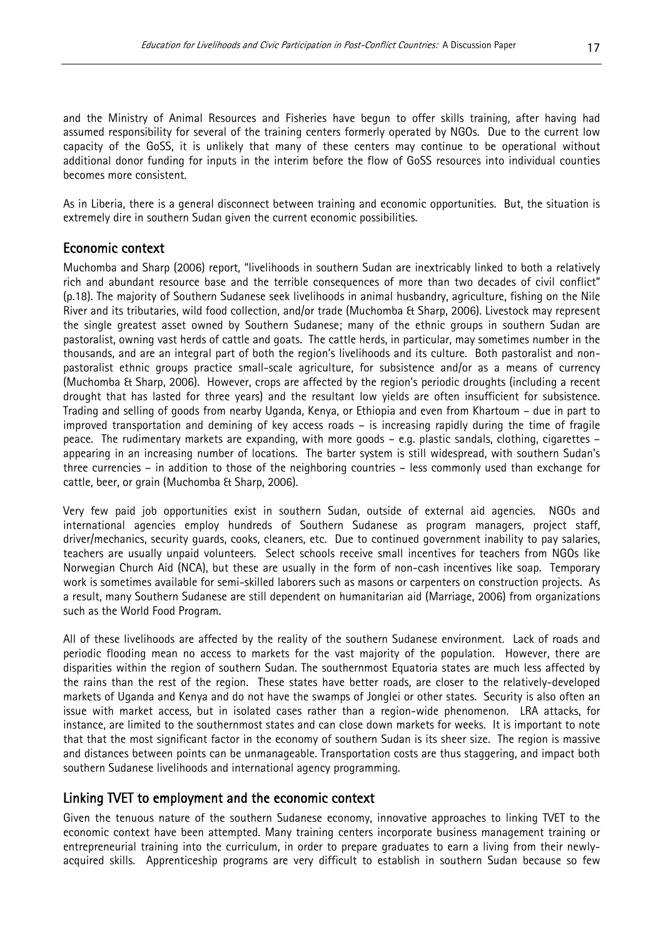and the Ministry of Animal Resources and Fisheries have begun to offer skills training, after having had assumed responsibility for several of the training centers formerly operated by NGOs. Due to the current low capacity of the GoSS, it is unlikely that many of these centers may continue to be operational without additional donor funding for inputs in the interim before the flow of GoSS resources into individual counties becomes more consistent.

As in Liberia, there is a general disconnect between training and economic opportunities. But, the situation is extremely dire in southern Sudan given the current economic possibilities.

#### Economic context

Muchomba and Sharp (2006) report, "livelihoods in southern Sudan are inextricably linked to both a relatively rich and abundant resource base and the terrible consequences of more than two decades of civil conflict" (p.18). The majority of Southern Sudanese seek livelihoods in animal husbandry, agriculture, fishing on the Nile River and its tributaries, wild food collection, and/or trade (Muchomba & Sharp, 2006). Livestock may represent the single greatest asset owned by Southern Sudanese; many of the ethnic groups in southern Sudan are pastoralist, owning vast herds of cattle and goats. The cattle herds, in particular, may sometimes number in the thousands, and are an integral part of both the region's livelihoods and its culture. Both pastoralist and nonpastoralist ethnic groups practice small-scale agriculture, for subsistence and/or as a means of currency (Muchomba & Sharp, 2006). However, crops are affected by the region's periodic droughts (including a recent drought that has lasted for three years) and the resultant low yields are often insufficient for subsistence. Trading and selling of goods from nearby Uganda, Kenya, or Ethiopia and even from Khartoum – due in part to improved transportation and demining of key access roads – is increasing rapidly during the time of fragile peace. The rudimentary markets are expanding, with more goods – e.g. plastic sandals, clothing, cigarettes – appearing in an increasing number of locations. The barter system is still widespread, with southern Sudan's three currencies – in addition to those of the neighboring countries – less commonly used than exchange for cattle, beer, or grain (Muchomba & Sharp, 2006).

Very few paid job opportunities exist in southern Sudan, outside of external aid agencies. NGOs and international agencies employ hundreds of Southern Sudanese as program managers, project staff, driver/mechanics, security guards, cooks, cleaners, etc. Due to continued government inability to pay salaries, teachers are usually unpaid volunteers. Select schools receive small incentives for teachers from NGOs like Norwegian Church Aid (NCA), but these are usually in the form of non-cash incentives like soap. Temporary work is sometimes available for semi-skilled laborers such as masons or carpenters on construction projects. As a result, many Southern Sudanese are still dependent on humanitarian aid (Marriage, 2006) from organizations such as the World Food Program.

All of these livelihoods are affected by the reality of the southern Sudanese environment. Lack of roads and periodic flooding mean no access to markets for the vast majority of the population. However, there are disparities within the region of southern Sudan. The southernmost Equatoria states are much less affected by the rains than the rest of the region. These states have better roads, are closer to the relatively-developed markets of Uganda and Kenya and do not have the swamps of Jonglei or other states. Security is also often an issue with market access, but in isolated cases rather than a region-wide phenomenon. LRA attacks, for instance, are limited to the southernmost states and can close down markets for weeks. It is important to note that that the most significant factor in the economy of southern Sudan is its sheer size. The region is massive and distances between points can be unmanageable. Transportation costs are thus staggering, and impact both southern Sudanese livelihoods and international agency programming.

#### Linking TVET to employment and the economic context

Given the tenuous nature of the southern Sudanese economy, innovative approaches to linking TVET to the economic context have been attempted. Many training centers incorporate business management training or entrepreneurial training into the curriculum, in order to prepare graduates to earn a living from their newlyacquired skills. Apprenticeship programs are very difficult to establish in southern Sudan because so few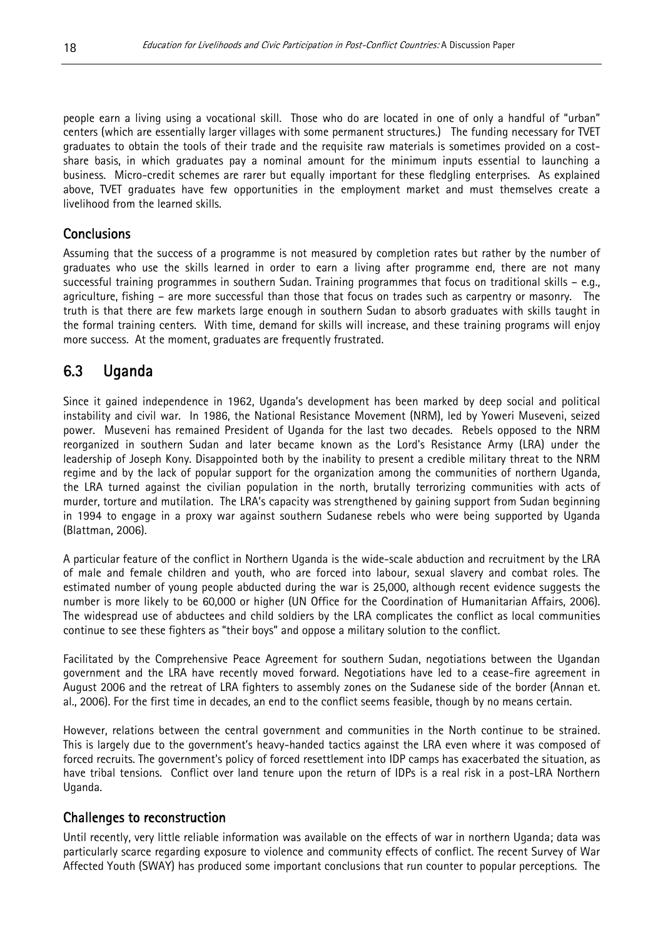people earn a living using a vocational skill. Those who do are located in one of only a handful of "urban" centers (which are essentially larger villages with some permanent structures.) The funding necessary for TVET graduates to obtain the tools of their trade and the requisite raw materials is sometimes provided on a costshare basis, in which graduates pay a nominal amount for the minimum inputs essential to launching a business. Micro-credit schemes are rarer but equally important for these fledgling enterprises. As explained above, TVET graduates have few opportunities in the employment market and must themselves create a livelihood from the learned skills.

#### **Conclusions**

Assuming that the success of a programme is not measured by completion rates but rather by the number of graduates who use the skills learned in order to earn a living after programme end, there are not many successful training programmes in southern Sudan. Training programmes that focus on traditional skills – e.g., agriculture, fishing – are more successful than those that focus on trades such as carpentry or masonry. The truth is that there are few markets large enough in southern Sudan to absorb graduates with skills taught in the formal training centers. With time, demand for skills will increase, and these training programs will enjoy more success. At the moment, graduates are frequently frustrated.

# 6.3 Uganda

Since it gained independence in 1962, Uganda's development has been marked by deep social and political instability and civil war. In 1986, the National Resistance Movement (NRM), led by Yoweri Museveni, seized power. Museveni has remained President of Uganda for the last two decades. Rebels opposed to the NRM reorganized in southern Sudan and later became known as the Lord's Resistance Army (LRA) under the leadership of Joseph Kony. Disappointed both by the inability to present a credible military threat to the NRM regime and by the lack of popular support for the organization among the communities of northern Uganda, the LRA turned against the civilian population in the north, brutally terrorizing communities with acts of murder, torture and mutilation. The LRA's capacity was strengthened by gaining support from Sudan beginning in 1994 to engage in a proxy war against southern Sudanese rebels who were being supported by Uganda (Blattman, 2006).

A particular feature of the conflict in Northern Uganda is the wide-scale abduction and recruitment by the LRA of male and female children and youth, who are forced into labour, sexual slavery and combat roles. The estimated number of young people abducted during the war is 25,000, although recent evidence suggests the number is more likely to be 60,000 or higher (UN Office for the Coordination of Humanitarian Affairs, 2006). The widespread use of abductees and child soldiers by the LRA complicates the conflict as local communities continue to see these fighters as "their boys" and oppose a military solution to the conflict.

Facilitated by the Comprehensive Peace Agreement for southern Sudan, negotiations between the Ugandan government and the LRA have recently moved forward. Negotiations have led to a cease-fire agreement in August 2006 and the retreat of LRA fighters to assembly zones on the Sudanese side of the border (Annan et. al., 2006). For the first time in decades, an end to the conflict seems feasible, though by no means certain.

However, relations between the central government and communities in the North continue to be strained. This is largely due to the government's heavy-handed tactics against the LRA even where it was composed of forced recruits. The government's policy of forced resettlement into IDP camps has exacerbated the situation, as have tribal tensions. Conflict over land tenure upon the return of IDPs is a real risk in a post-LRA Northern Uganda.

#### Challenges to reconstruction

Until recently, very little reliable information was available on the effects of war in northern Uganda; data was particularly scarce regarding exposure to violence and community effects of conflict. The recent Survey of War Affected Youth (SWAY) has produced some important conclusions that run counter to popular perceptions. The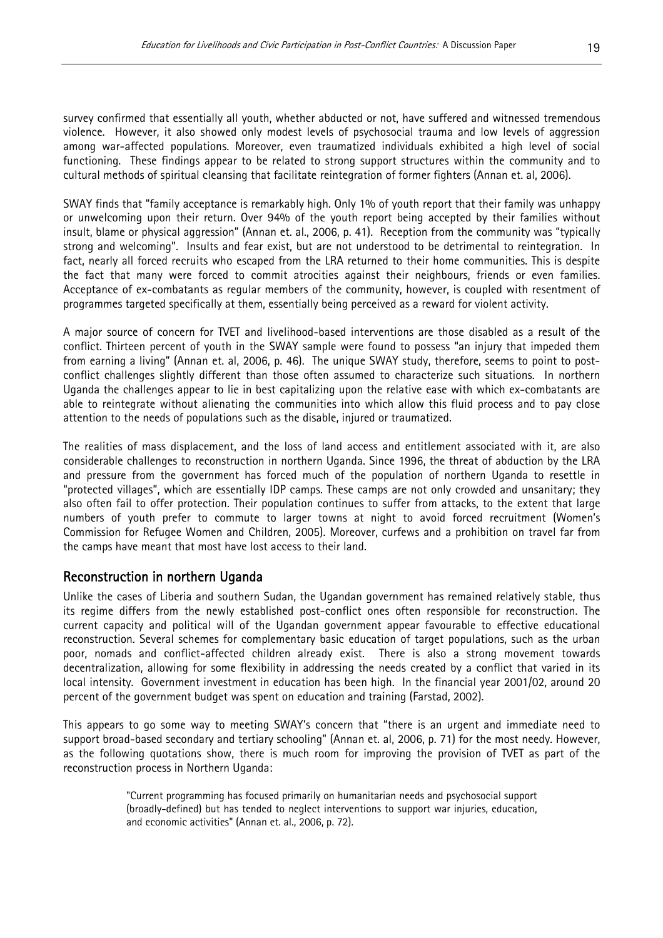survey confirmed that essentially all youth, whether abducted or not, have suffered and witnessed tremendous violence. However, it also showed only modest levels of psychosocial trauma and low levels of aggression among war-affected populations. Moreover, even traumatized individuals exhibited a high level of social functioning. These findings appear to be related to strong support structures within the community and to cultural methods of spiritual cleansing that facilitate reintegration of former fighters (Annan et. al, 2006).

SWAY finds that "family acceptance is remarkably high. Only 1% of youth report that their family was unhappy or unwelcoming upon their return. Over 94% of the youth report being accepted by their families without insult, blame or physical aggression" (Annan et. al., 2006, p. 41). Reception from the community was "typically strong and welcoming". Insults and fear exist, but are not understood to be detrimental to reintegration. In fact, nearly all forced recruits who escaped from the LRA returned to their home communities. This is despite the fact that many were forced to commit atrocities against their neighbours, friends or even families. Acceptance of ex-combatants as regular members of the community, however, is coupled with resentment of programmes targeted specifically at them, essentially being perceived as a reward for violent activity.

A major source of concern for TVET and livelihood-based interventions are those disabled as a result of the conflict. Thirteen percent of youth in the SWAY sample were found to possess "an injury that impeded them from earning a living" (Annan et. al, 2006, p. 46). The unique SWAY study, therefore, seems to point to postconflict challenges slightly different than those often assumed to characterize such situations. In northern Uganda the challenges appear to lie in best capitalizing upon the relative ease with which ex-combatants are able to reintegrate without alienating the communities into which allow this fluid process and to pay close attention to the needs of populations such as the disable, injured or traumatized.

The realities of mass displacement, and the loss of land access and entitlement associated with it, are also considerable challenges to reconstruction in northern Uganda. Since 1996, the threat of abduction by the LRA and pressure from the government has forced much of the population of northern Uganda to resettle in "protected villages", which are essentially IDP camps. These camps are not only crowded and unsanitary; they also often fail to offer protection. Their population continues to suffer from attacks, to the extent that large numbers of youth prefer to commute to larger towns at night to avoid forced recruitment (Women's Commission for Refugee Women and Children, 2005). Moreover, curfews and a prohibition on travel far from the camps have meant that most have lost access to their land.

#### Reconstruction in northern Uganda

Unlike the cases of Liberia and southern Sudan, the Ugandan government has remained relatively stable, thus its regime differs from the newly established post-conflict ones often responsible for reconstruction. The current capacity and political will of the Ugandan government appear favourable to effective educational reconstruction. Several schemes for complementary basic education of target populations, such as the urban poor, nomads and conflict-affected children already exist. There is also a strong movement towards decentralization, allowing for some flexibility in addressing the needs created by a conflict that varied in its local intensity. Government investment in education has been high. In the financial year 2001/02, around 20 percent of the government budget was spent on education and training (Farstad, 2002).

This appears to go some way to meeting SWAY's concern that "there is an urgent and immediate need to support broad-based secondary and tertiary schooling" (Annan et. al, 2006, p. 71) for the most needy. However, as the following quotations show, there is much room for improving the provision of TVET as part of the reconstruction process in Northern Uganda:

> "Current programming has focused primarily on humanitarian needs and psychosocial support (broadly-defined) but has tended to neglect interventions to support war injuries, education, and economic activities" (Annan et. al., 2006, p. 72).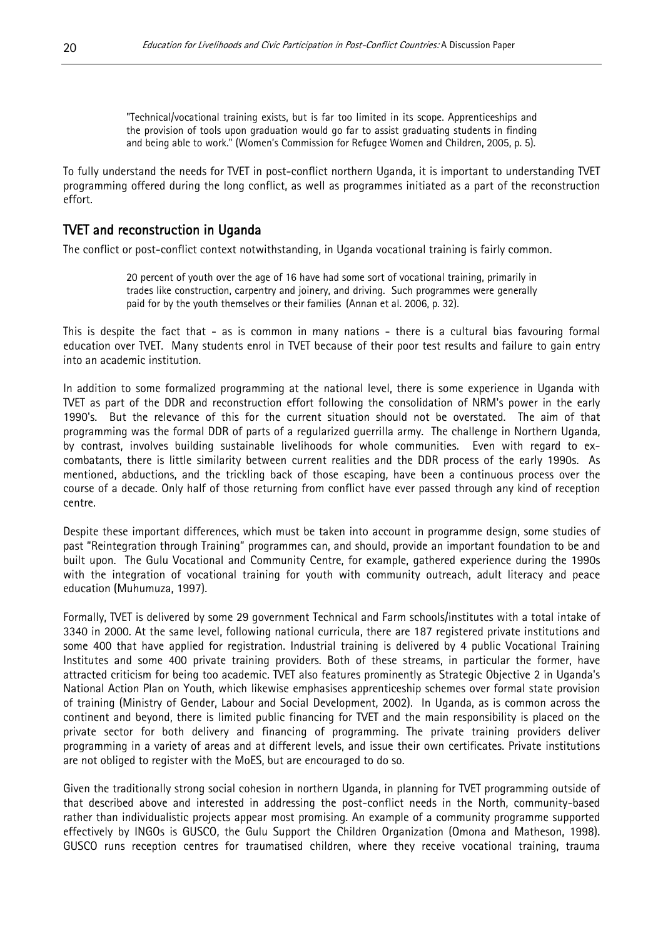"Technical/vocational training exists, but is far too limited in its scope. Apprenticeships and the provision of tools upon graduation would go far to assist graduating students in finding and being able to work." (Women's Commission for Refugee Women and Children, 2005, p. 5).

To fully understand the needs for TVET in post-conflict northern Uganda, it is important to understanding TVET programming offered during the long conflict, as well as programmes initiated as a part of the reconstruction effort.

#### TVET and reconstruction in Uganda

The conflict or post-conflict context notwithstanding, in Uganda vocational training is fairly common.

20 percent of youth over the age of 16 have had some sort of vocational training, primarily in trades like construction, carpentry and joinery, and driving. Such programmes were generally paid for by the youth themselves or their families (Annan et al. 2006, p. 32).

This is despite the fact that - as is common in many nations - there is a cultural bias favouring formal education over TVET. Many students enrol in TVET because of their poor test results and failure to gain entry into an academic institution.

In addition to some formalized programming at the national level, there is some experience in Uganda with TVET as part of the DDR and reconstruction effort following the consolidation of NRM's power in the early 1990's. But the relevance of this for the current situation should not be overstated. The aim of that programming was the formal DDR of parts of a regularized guerrilla army. The challenge in Northern Uganda, by contrast, involves building sustainable livelihoods for whole communities. Even with regard to excombatants, there is little similarity between current realities and the DDR process of the early 1990s. As mentioned, abductions, and the trickling back of those escaping, have been a continuous process over the course of a decade. Only half of those returning from conflict have ever passed through any kind of reception centre.

Despite these important differences, which must be taken into account in programme design, some studies of past "Reintegration through Training" programmes can, and should, provide an important foundation to be and built upon. The Gulu Vocational and Community Centre, for example, gathered experience during the 1990s with the integration of vocational training for youth with community outreach, adult literacy and peace education (Muhumuza, 1997).

Formally, TVET is delivered by some 29 government Technical and Farm schools/institutes with a total intake of 3340 in 2000. At the same level, following national curricula, there are 187 registered private institutions and some 400 that have applied for registration. Industrial training is delivered by 4 public Vocational Training Institutes and some 400 private training providers. Both of these streams, in particular the former, have attracted criticism for being too academic. TVET also features prominently as Strategic Objective 2 in Uganda's National Action Plan on Youth, which likewise emphasises apprenticeship schemes over formal state provision of training (Ministry of Gender, Labour and Social Development, 2002). In Uganda, as is common across the continent and beyond, there is limited public financing for TVET and the main responsibility is placed on the private sector for both delivery and financing of programming. The private training providers deliver programming in a variety of areas and at different levels, and issue their own certificates. Private institutions are not obliged to register with the MoES, but are encouraged to do so.

Given the traditionally strong social cohesion in northern Uganda, in planning for TVET programming outside of that described above and interested in addressing the post-conflict needs in the North, community-based rather than individualistic projects appear most promising. An example of a community programme supported effectively by INGOs is GUSCO, the Gulu Support the Children Organization (Omona and Matheson, 1998). GUSCO runs reception centres for traumatised children, where they receive vocational training, trauma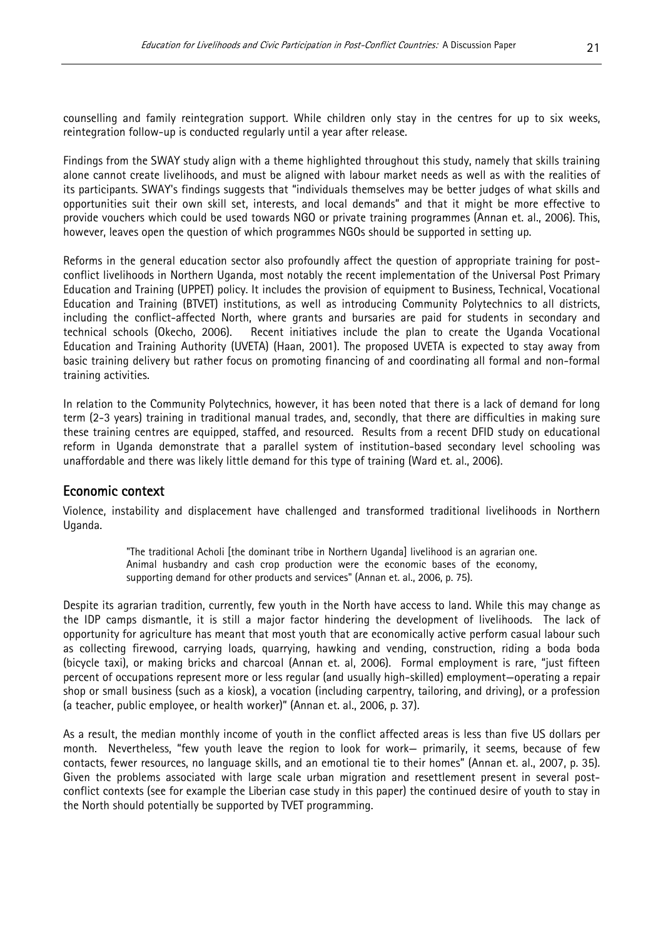counselling and family reintegration support. While children only stay in the centres for up to six weeks, reintegration follow-up is conducted regularly until a year after release.

Findings from the SWAY study align with a theme highlighted throughout this study, namely that skills training alone cannot create livelihoods, and must be aligned with labour market needs as well as with the realities of its participants. SWAY's findings suggests that "individuals themselves may be better judges of what skills and opportunities suit their own skill set, interests, and local demands" and that it might be more effective to provide vouchers which could be used towards NGO or private training programmes (Annan et. al., 2006). This, however, leaves open the question of which programmes NGOs should be supported in setting up.

Reforms in the general education sector also profoundly affect the question of appropriate training for postconflict livelihoods in Northern Uganda, most notably the recent implementation of the Universal Post Primary Education and Training (UPPET) policy. It includes the provision of equipment to Business, Technical, Vocational Education and Training (BTVET) institutions, as well as introducing Community Polytechnics to all districts, including the conflict-affected North, where grants and bursaries are paid for students in secondary and technical schools (Okecho, 2006). Recent initiatives include the plan to create the Uganda Vocational Education and Training Authority (UVETA) (Haan, 2001). The proposed UVETA is expected to stay away from basic training delivery but rather focus on promoting financing of and coordinating all formal and non-formal training activities.

In relation to the Community Polytechnics, however, it has been noted that there is a lack of demand for long term (2-3 years) training in traditional manual trades, and, secondly, that there are difficulties in making sure these training centres are equipped, staffed, and resourced. Results from a recent DFID study on educational reform in Uganda demonstrate that a parallel system of institution-based secondary level schooling was unaffordable and there was likely little demand for this type of training (Ward et. al., 2006).

#### Economic context

Violence, instability and displacement have challenged and transformed traditional livelihoods in Northern Uganda.

> "The traditional Acholi [the dominant tribe in Northern Uganda] livelihood is an agrarian one. Animal husbandry and cash crop production were the economic bases of the economy, supporting demand for other products and services" (Annan et. al., 2006, p. 75).

Despite its agrarian tradition, currently, few youth in the North have access to land. While this may change as the IDP camps dismantle, it is still a major factor hindering the development of livelihoods. The lack of opportunity for agriculture has meant that most youth that are economically active perform casual labour such as collecting firewood, carrying loads, quarrying, hawking and vending, construction, riding a boda boda (bicycle taxi), or making bricks and charcoal (Annan et. al, 2006). Formal employment is rare, "just fifteen percent of occupations represent more or less regular (and usually high-skilled) employment—operating a repair shop or small business (such as a kiosk), a vocation (including carpentry, tailoring, and driving), or a profession (a teacher, public employee, or health worker)" (Annan et. al., 2006, p. 37).

As a result, the median monthly income of youth in the conflict affected areas is less than five US dollars per month. Nevertheless, "few youth leave the region to look for work— primarily, it seems, because of few contacts, fewer resources, no language skills, and an emotional tie to their homes" (Annan et. al., 2007, p. 35). Given the problems associated with large scale urban migration and resettlement present in several postconflict contexts (see for example the Liberian case study in this paper) the continued desire of youth to stay in the North should potentially be supported by TVET programming.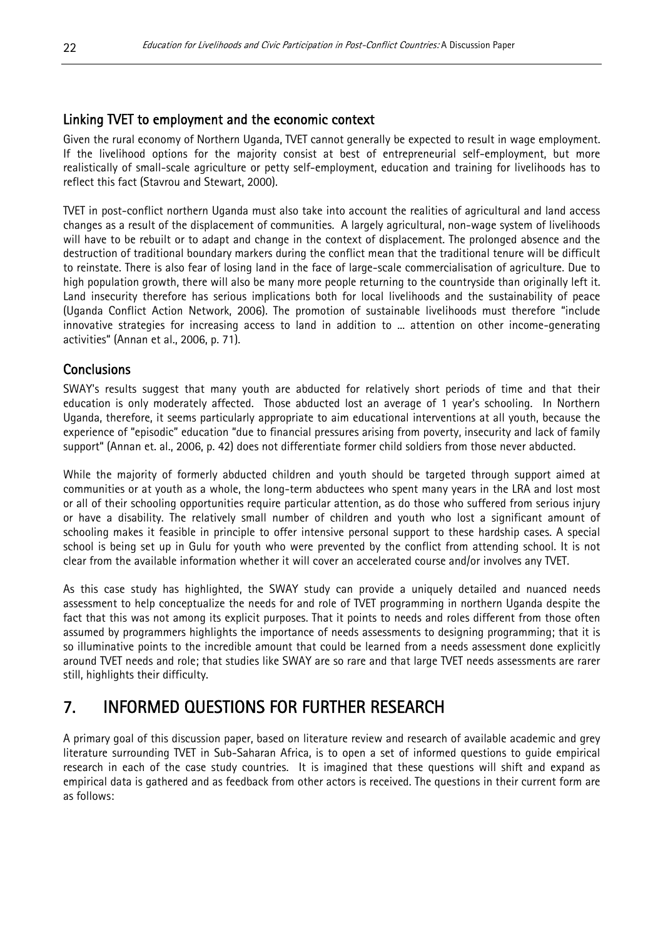#### Linking TVET to employment and the economic context

Given the rural economy of Northern Uganda, TVET cannot generally be expected to result in wage employment. If the livelihood options for the majority consist at best of entrepreneurial self-employment, but more realistically of small-scale agriculture or petty self-employment, education and training for livelihoods has to reflect this fact (Stavrou and Stewart, 2000).

TVET in post-conflict northern Uganda must also take into account the realities of agricultural and land access changes as a result of the displacement of communities. A largely agricultural, non-wage system of livelihoods will have to be rebuilt or to adapt and change in the context of displacement. The prolonged absence and the destruction of traditional boundary markers during the conflict mean that the traditional tenure will be difficult to reinstate. There is also fear of losing land in the face of large-scale commercialisation of agriculture. Due to high population growth, there will also be many more people returning to the countryside than originally left it. Land insecurity therefore has serious implications both for local livelihoods and the sustainability of peace (Uganda Conflict Action Network, 2006). The promotion of sustainable livelihoods must therefore "include innovative strategies for increasing access to land in addition to ... attention on other income-generating activities" (Annan et al., 2006, p. 71).

#### **Conclusions**

SWAY's results suggest that many youth are abducted for relatively short periods of time and that their education is only moderately affected. Those abducted lost an average of 1 year's schooling. In Northern Uganda, therefore, it seems particularly appropriate to aim educational interventions at all youth, because the experience of "episodic" education "due to financial pressures arising from poverty, insecurity and lack of family support" (Annan et. al., 2006, p. 42) does not differentiate former child soldiers from those never abducted.

While the majority of formerly abducted children and youth should be targeted through support aimed at communities or at youth as a whole, the long-term abductees who spent many years in the LRA and lost most or all of their schooling opportunities require particular attention, as do those who suffered from serious injury or have a disability. The relatively small number of children and youth who lost a significant amount of schooling makes it feasible in principle to offer intensive personal support to these hardship cases. A special school is being set up in Gulu for youth who were prevented by the conflict from attending school. It is not clear from the available information whether it will cover an accelerated course and/or involves any TVET.

As this case study has highlighted, the SWAY study can provide a uniquely detailed and nuanced needs assessment to help conceptualize the needs for and role of TVET programming in northern Uganda despite the fact that this was not among its explicit purposes. That it points to needs and roles different from those often assumed by programmers highlights the importance of needs assessments to designing programming; that it is so illuminative points to the incredible amount that could be learned from a needs assessment done explicitly around TVET needs and role; that studies like SWAY are so rare and that large TVET needs assessments are rarer still, highlights their difficulty.

# 7. INFORMED QUESTIONS FOR FURTHER RESEARCH

A primary goal of this discussion paper, based on literature review and research of available academic and grey literature surrounding TVET in Sub-Saharan Africa, is to open a set of informed questions to guide empirical research in each of the case study countries. It is imagined that these questions will shift and expand as empirical data is gathered and as feedback from other actors is received. The questions in their current form are as follows: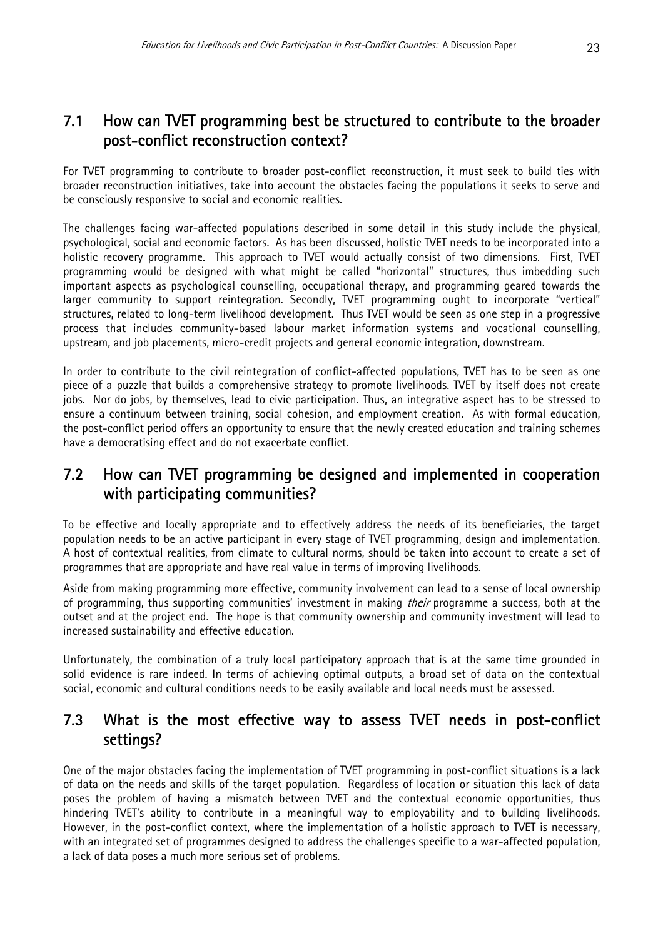# 7.1 How can TVET programming best be structured to contribute to the broader post-conflict reconstruction context?

For TVET programming to contribute to broader post-conflict reconstruction, it must seek to build ties with broader reconstruction initiatives, take into account the obstacles facing the populations it seeks to serve and be consciously responsive to social and economic realities.

The challenges facing war-affected populations described in some detail in this study include the physical, psychological, social and economic factors. As has been discussed, holistic TVET needs to be incorporated into a holistic recovery programme. This approach to TVET would actually consist of two dimensions. First, TVET programming would be designed with what might be called "horizontal" structures, thus imbedding such important aspects as psychological counselling, occupational therapy, and programming geared towards the larger community to support reintegration. Secondly, TVET programming ought to incorporate "vertical" structures, related to long-term livelihood development. Thus TVET would be seen as one step in a progressive process that includes community-based labour market information systems and vocational counselling, upstream, and job placements, micro-credit projects and general economic integration, downstream.

In order to contribute to the civil reintegration of conflict-affected populations, TVET has to be seen as one piece of a puzzle that builds a comprehensive strategy to promote livelihoods. TVET by itself does not create jobs. Nor do jobs, by themselves, lead to civic participation. Thus, an integrative aspect has to be stressed to ensure a continuum between training, social cohesion, and employment creation. As with formal education, the post-conflict period offers an opportunity to ensure that the newly created education and training schemes have a democratising effect and do not exacerbate conflict.

## 7.2 How can TVET programming be designed and implemented in cooperation with participating communities?

To be effective and locally appropriate and to effectively address the needs of its beneficiaries, the target population needs to be an active participant in every stage of TVET programming, design and implementation. A host of contextual realities, from climate to cultural norms, should be taken into account to create a set of programmes that are appropriate and have real value in terms of improving livelihoods.

Aside from making programming more effective, community involvement can lead to a sense of local ownership of programming, thus supporting communities' investment in making *their* programme a success, both at the outset and at the project end. The hope is that community ownership and community investment will lead to increased sustainability and effective education.

Unfortunately, the combination of a truly local participatory approach that is at the same time grounded in solid evidence is rare indeed. In terms of achieving optimal outputs, a broad set of data on the contextual social, economic and cultural conditions needs to be easily available and local needs must be assessed.

## 7.3 What is the most effective way to assess TVET needs in post-conflict settings?

One of the major obstacles facing the implementation of TVET programming in post-conflict situations is a lack of data on the needs and skills of the target population. Regardless of location or situation this lack of data poses the problem of having a mismatch between TVET and the contextual economic opportunities, thus hindering TVET's ability to contribute in a meaningful way to employability and to building livelihoods. However, in the post-conflict context, where the implementation of a holistic approach to TVET is necessary, with an integrated set of programmes designed to address the challenges specific to a war-affected population, a lack of data poses a much more serious set of problems.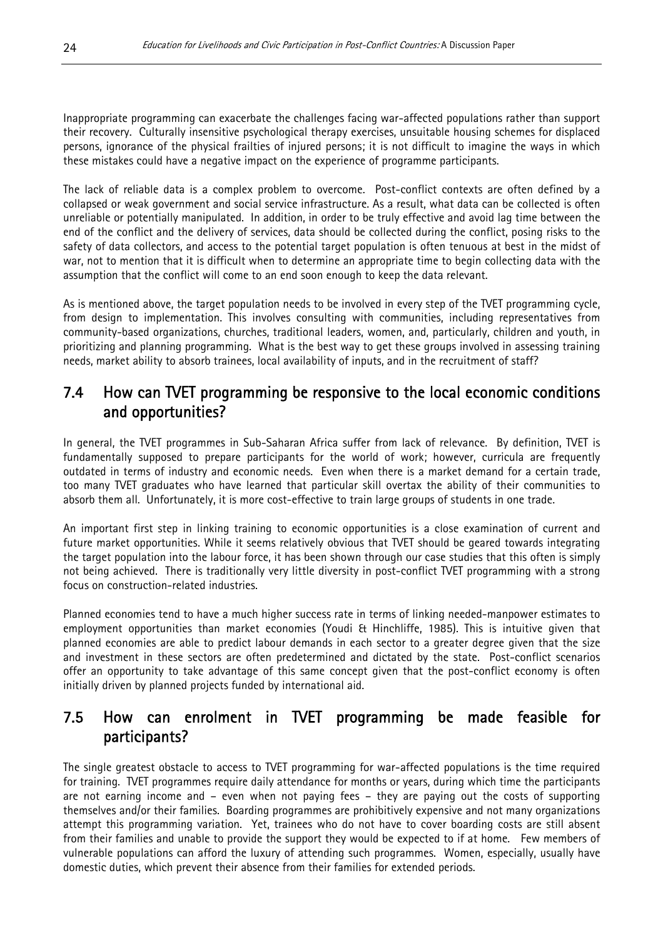Inappropriate programming can exacerbate the challenges facing war-affected populations rather than support their recovery. Culturally insensitive psychological therapy exercises, unsuitable housing schemes for displaced persons, ignorance of the physical frailties of injured persons; it is not difficult to imagine the ways in which these mistakes could have a negative impact on the experience of programme participants.

The lack of reliable data is a complex problem to overcome. Post-conflict contexts are often defined by a collapsed or weak government and social service infrastructure. As a result, what data can be collected is often unreliable or potentially manipulated. In addition, in order to be truly effective and avoid lag time between the end of the conflict and the delivery of services, data should be collected during the conflict, posing risks to the safety of data collectors, and access to the potential target population is often tenuous at best in the midst of war, not to mention that it is difficult when to determine an appropriate time to begin collecting data with the assumption that the conflict will come to an end soon enough to keep the data relevant.

As is mentioned above, the target population needs to be involved in every step of the TVET programming cycle, from design to implementation. This involves consulting with communities, including representatives from community-based organizations, churches, traditional leaders, women, and, particularly, children and youth, in prioritizing and planning programming. What is the best way to get these groups involved in assessing training needs, market ability to absorb trainees, local availability of inputs, and in the recruitment of staff?

## 7.4 How can TVET programming be responsive to the local economic conditions and opportunities?

In general, the TVET programmes in Sub-Saharan Africa suffer from lack of relevance. By definition, TVET is fundamentally supposed to prepare participants for the world of work; however, curricula are frequently outdated in terms of industry and economic needs. Even when there is a market demand for a certain trade, too many TVET graduates who have learned that particular skill overtax the ability of their communities to absorb them all. Unfortunately, it is more cost-effective to train large groups of students in one trade.

An important first step in linking training to economic opportunities is a close examination of current and future market opportunities. While it seems relatively obvious that TVET should be geared towards integrating the target population into the labour force, it has been shown through our case studies that this often is simply not being achieved. There is traditionally very little diversity in post-conflict TVET programming with a strong focus on construction-related industries.

Planned economies tend to have a much higher success rate in terms of linking needed-manpower estimates to employment opportunities than market economies (Youdi & Hinchliffe, 1985). This is intuitive given that planned economies are able to predict labour demands in each sector to a greater degree given that the size and investment in these sectors are often predetermined and dictated by the state. Post-conflict scenarios offer an opportunity to take advantage of this same concept given that the post-conflict economy is often initially driven by planned projects funded by international aid.

# 7.5 How can enrolment in TVET programming be made feasible for participants?

The single greatest obstacle to access to TVET programming for war-affected populations is the time required for training. TVET programmes require daily attendance for months or years, during which time the participants are not earning income and – even when not paying fees – they are paying out the costs of supporting themselves and/or their families. Boarding programmes are prohibitively expensive and not many organizations attempt this programming variation. Yet, trainees who do not have to cover boarding costs are still absent from their families and unable to provide the support they would be expected to if at home. Few members of vulnerable populations can afford the luxury of attending such programmes. Women, especially, usually have domestic duties, which prevent their absence from their families for extended periods.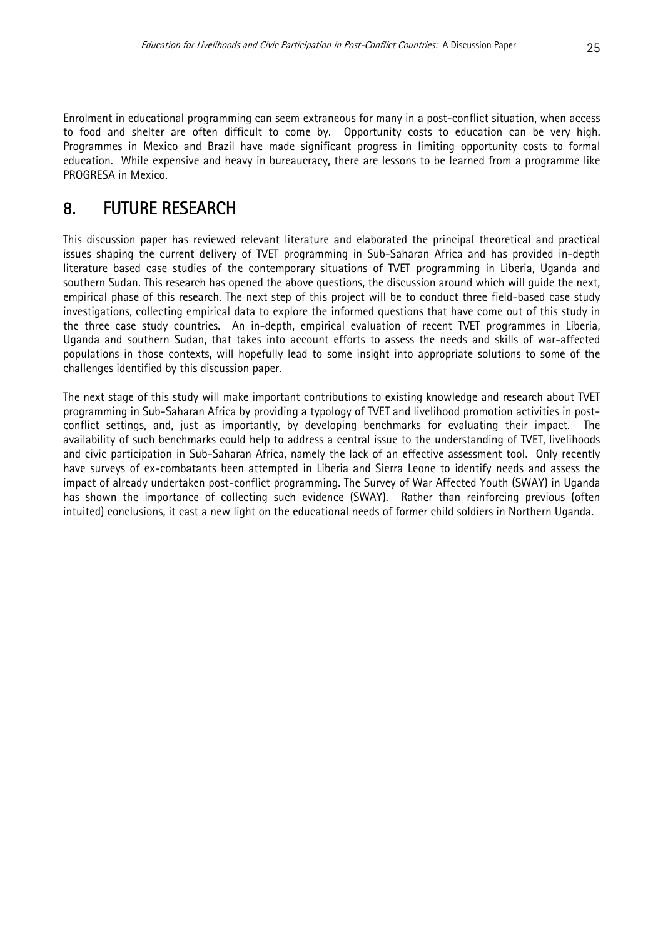Enrolment in educational programming can seem extraneous for many in a post-conflict situation, when access to food and shelter are often difficult to come by. Opportunity costs to education can be very high. Programmes in Mexico and Brazil have made significant progress in limiting opportunity costs to formal education. While expensive and heavy in bureaucracy, there are lessons to be learned from a programme like PROGRESA in Mexico.

# 8. FUTURE RESEARCH

This discussion paper has reviewed relevant literature and elaborated the principal theoretical and practical issues shaping the current delivery of TVET programming in Sub-Saharan Africa and has provided in-depth literature based case studies of the contemporary situations of TVET programming in Liberia, Uganda and southern Sudan. This research has opened the above questions, the discussion around which will guide the next, empirical phase of this research. The next step of this project will be to conduct three field-based case study investigations, collecting empirical data to explore the informed questions that have come out of this study in the three case study countries. An in-depth, empirical evaluation of recent TVET programmes in Liberia, Uganda and southern Sudan, that takes into account efforts to assess the needs and skills of war-affected populations in those contexts, will hopefully lead to some insight into appropriate solutions to some of the challenges identified by this discussion paper.

The next stage of this study will make important contributions to existing knowledge and research about TVET programming in Sub-Saharan Africa by providing a typology of TVET and livelihood promotion activities in postconflict settings, and, just as importantly, by developing benchmarks for evaluating their impact. The availability of such benchmarks could help to address a central issue to the understanding of TVET, livelihoods and civic participation in Sub-Saharan Africa, namely the lack of an effective assessment tool. Only recently have surveys of ex-combatants been attempted in Liberia and Sierra Leone to identify needs and assess the impact of already undertaken post-conflict programming. The Survey of War Affected Youth (SWAY) in Uganda has shown the importance of collecting such evidence (SWAY). Rather than reinforcing previous (often intuited) conclusions, it cast a new light on the educational needs of former child soldiers in Northern Uganda.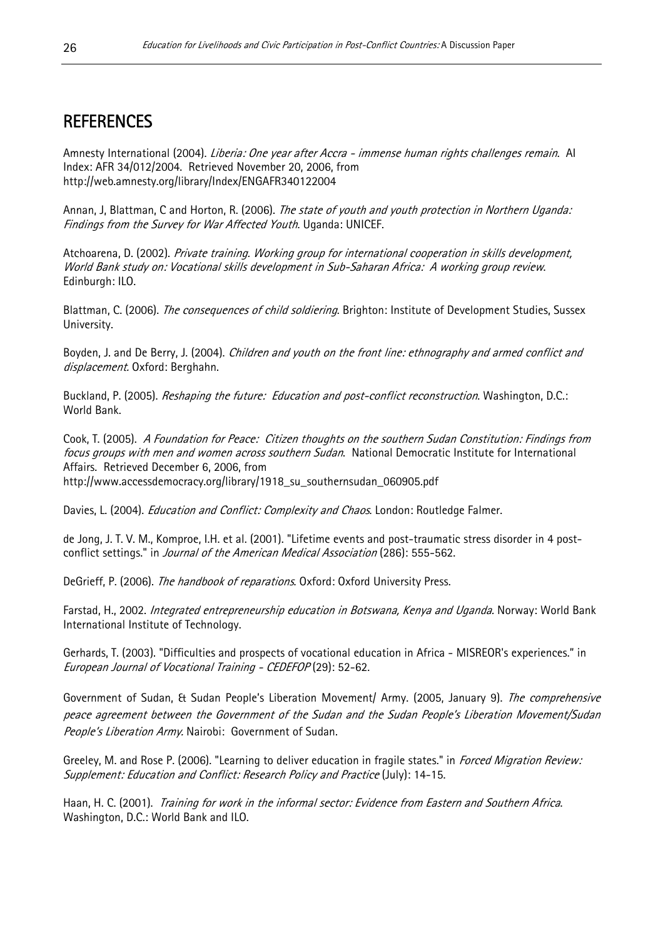# **REFERENCES**

Amnesty International (2004). *Liberia: One year after Accra - immense human rights challenges remain.* Al Index: AFR 34/012/2004. Retrieved November 20, 2006, from http://web.amnesty.org/library/Index/ENGAFR340122004

Annan, J, Blattman, C and Horton, R. (2006). The state of youth and youth protection in Northern Uganda: Findings from the Survey for War Affected Youth. Uganda: UNICEF.

World Bank study on: Vocational skills development in Sub-Saharan Africa: A working group review. Atchoarena, D. (2002). Private training. Working group for international cooperation in skills development, Edinburgh: ILO.

Blattman, C. (2006). The consequences of child soldiering. Brighton: Institute of Development Studies, Sussex University.

Boyden, J. and De Berry, J. (2004). Children and youth on the front line: ethnography and armed conflict and displacement. Oxford: Berghahn.

Buckland, P. (2005). *Reshaping the future: Education and post-conflict reconstruction*. Washington, D.C.: World Bank.

Cook, T. (2005). A Foundation for Peace: Citizen thoughts on the southern Sudan Constitution: Findings from focus groups with men and women across southern Sudan. National Democratic Institute for International Affairs. Retrieved December 6, 2006, from http://www.accessdemocracy.org/library/1918\_su\_southernsudan\_060905.pdf

Davies, L. (2004). *Education and Conflict: Complexity and Chaos*. London: Routledge Falmer.

de Jong, J. T. V. M., Komproe, I.H. et al. (2001). "Lifetime events and post-traumatic stress disorder in 4 postconflict settings." in Journal of the American Medical Association (286): 555-562.

DeGrieff, P. (2006). The handbook of reparations. Oxford: Oxford University Press.

Farstad, H., 2002. *Integrated entrepreneurship education in Botswana, Kenya and Uganda.* Norway: World Bank International Institute of Technology.

Gerhards, T. (2003). "Difficulties and prospects of vocational education in Africa - MISREOR's experiences." in European Journal of Vocational Training - CEDEFOP (29): 52-62.

Government of Sudan, & Sudan People's Liberation Movement/ Army. (2005, January 9). *The comprehensive* peace agreement between the Government of the Sudan and the Sudan People's Liberation Movement/Sudan People's Liberation Army. Nairobi: Government of Sudan.

Greeley, M. and Rose P. (2006). "Learning to deliver education in fragile states." in *Forced Migration Review:* Supplement: Education and Conflict: Research Policy and Practice (July): 14-15.

Haan, H. C. (2001). *Training for work in the informal sector: Evidence from Eastern and Southern Africa*. Washington, D.C.: World Bank and ILO.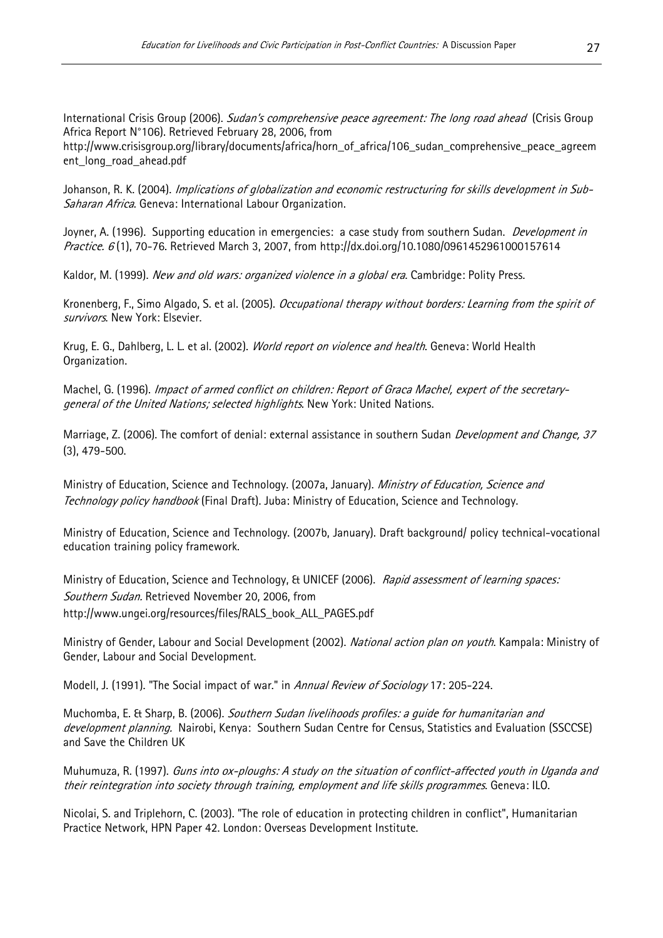International Crisis Group (2006). Sudan's comprehensive peace agreement: The long road ahead (Crisis Group Africa Report N°106). Retrieved February 28, 2006, from

http://www.crisisgroup.org/library/documents/africa/horn\_of\_africa/106\_sudan\_comprehensive\_peace\_agreem ent\_long\_road\_ahead.pdf

Johanson, R. K. (2004). *Implications of globalization and economic restructuring for skills development in Sub-*Saharan Africa. Geneva: International Labour Organization.

Joyner, A. (1996). Supporting education in emergencies: a case study from southern Sudan. *Development in Practice. 6* (1), 70-76. Retrieved March 3, 2007, from http://dx.doi.org/10.1080/0961452961000157614

Kaldor, M. (1999). New and old wars: organized violence in a global era. Cambridge: Polity Press.

Kronenberg, F., Simo Algado, S. et al. (2005). Occupational therapy without borders: Learning from the spirit of survivors. New York: Elsevier.

Krug, E. G., Dahlberg, L. L. et al. (2002). World report on violence and health. Geneva: World Health Organization.

Machel, G. (1996). Impact of armed conflict on children: Report of Graca Machel, expert of the secretarygeneral of the United Nations; selected highlights. New York: United Nations.

Marriage, Z. (2006). The comfort of denial: external assistance in southern Sudan *Development and Change*, 37 (3), 479-500.

Ministry of Education, Science and Technology. (2007a, January). Ministry of Education, Science and Technology policy handbook (Final Draft). Juba: Ministry of Education, Science and Technology.

Ministry of Education, Science and Technology. (2007b, January). Draft background/ policy technical-vocational education training policy framework.

Ministry of Education, Science and Technology, & UNICEF (2006). Rapid assessment of learning spaces: Southern Sudan. Retrieved November 20, 2006, from http://www.ungei.org/resources/files/RALS\_book\_ALL\_PAGES.pdf

Ministry of Gender, Labour and Social Development (2002). National action plan on youth. Kampala: Ministry of Gender, Labour and Social Development.

Modell, J. (1991). "The Social impact of war." in Annual Review of Sociology 17: 205-224.

Muchomba, E. & Sharp, B. (2006). Southern Sudan livelihoods profiles: a quide for humanitarian and development planning. Nairobi, Kenya: Southern Sudan Centre for Census, Statistics and Evaluation (SSCCSE) and Save the Children UK

their reintegration into society through training, employment and life skills programmes. Geneva: ILO. Muhumuza, R. (1997). *Guns into ox-ploughs: A study on the situation of conflict-affected youth in Uganda and* 

Nicolai, S. and Triplehorn, C. (2003). "The role of education in protecting children in conflict", Humanitarian Practice Network, HPN Paper 42. London: Overseas Development Institute.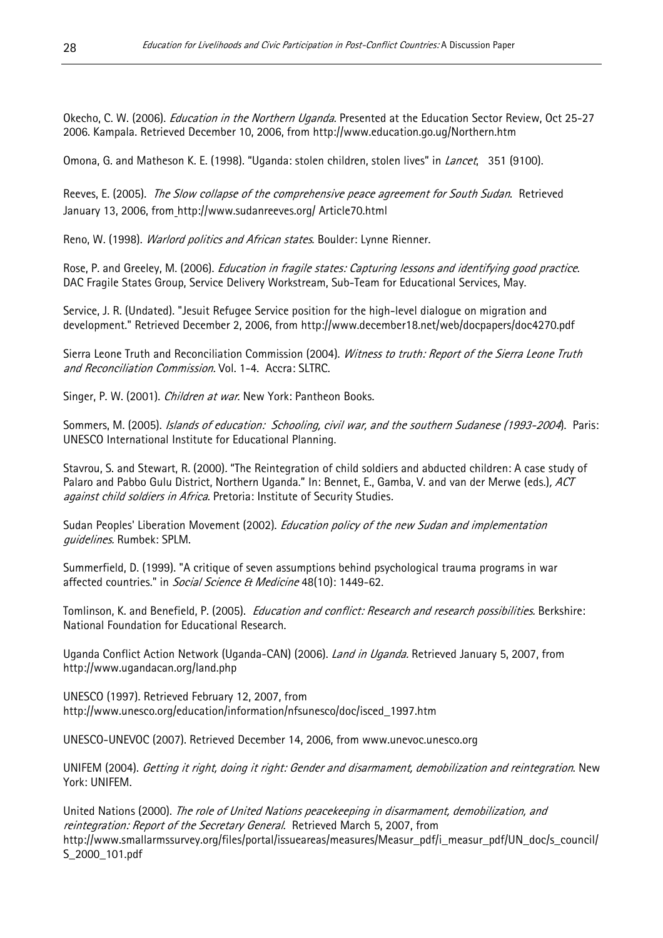Okecho, C. W. (2006). *Education in the Northern Uganda*. Presented at the Education Sector Review, Oct 25-27 2006. Kampala. Retrieved December 10, 2006, from http://www.education.go.ug/Northern.htm

Omona, G. and Matheson K. E. (1998). "Uganda: stolen children, stolen lives" in *Lancet*, 351 (9100).

Reeves, E. (2005). The Slow collapse of the comprehensive peace agreement for South Sudan. Retrieved January 13, 2006, from http://www.sudanreeves.org/ Article70.html

Reno, W. (1998). *Warlord politics and African states*. Boulder: Lynne Rienner.

Rose, P. and Greeley, M. (2006). *Education in fragile states: Capturing lessons and identifying good practice.* DAC Fragile States Group, Service Delivery Workstream, Sub-Team for Educational Services, May.

Service, J. R. (Undated). "Jesuit Refugee Service position for the high-level dialogue on migration and development." Retrieved December 2, 2006, from http://www.december18.net/web/docpapers/doc4270.pdf

Sierra Leone Truth and Reconciliation Commission (2004). Witness to truth: Report of the Sierra Leone Truth and Reconciliation Commission. Vol. 1-4. Accra: SLTRC.

Singer, P. W. (2001). *Children at war*. New York: Pantheon Books.

Sommers, M. (2005). Islands of education: Schooling, civil war, and the southern Sudanese (1993-2004). Paris: UNESCO International Institute for Educational Planning.

Stavrou, S. and Stewart, R. (2000). "The Reintegration of child soldiers and abducted children: A case study of Palaro and Pabbo Gulu District, Northern Uganda." In: Bennet, E., Gamba, V. and van der Merwe (eds.), ACT against child soldiers in Africa. Pretoria: Institute of Security Studies.

Sudan Peoples' Liberation Movement (2002). *Education policy of the new Sudan and implementation* guidelines. Rumbek: SPLM.

Summerfield, D. (1999). "A critique of seven assumptions behind psychological trauma programs in war affected countries." in Social Science & Medicine 48(10): 1449-62.

Tomlinson, K. and Benefield, P. (2005). *Education and conflict: Research and research possibilities.* Berkshire: National Foundation for Educational Research.

Uganda Conflict Action Network (Uganda-CAN) (2006). *Land in Uganda*. Retrieved January 5, 2007, from http://www.ugandacan.org/land.php

UNESCO (1997). Retrieved February 12, 2007, from http://www.unesco.org/education/information/nfsunesco/doc/isced\_1997.htm

UNESCO-UNEVOC (2007). Retrieved December 14, 2006, from www.unevoc.unesco.org

UNIFEM (2004). *Getting it right, doing it right: Gender and disarmament, demobilization and reintegration*. New York: UNIFEM.

United Nations (2000). The role of United Nations peacekeeping in disarmament, demobilization, and reintegration: Report of the Secretary General. Retrieved March 5, 2007, from http://www.smallarmssurvey.org/files/portal/issueareas/measures/Measur\_pdf/i\_measur\_pdf/UN\_doc/s\_council/ S\_2000\_101.pdf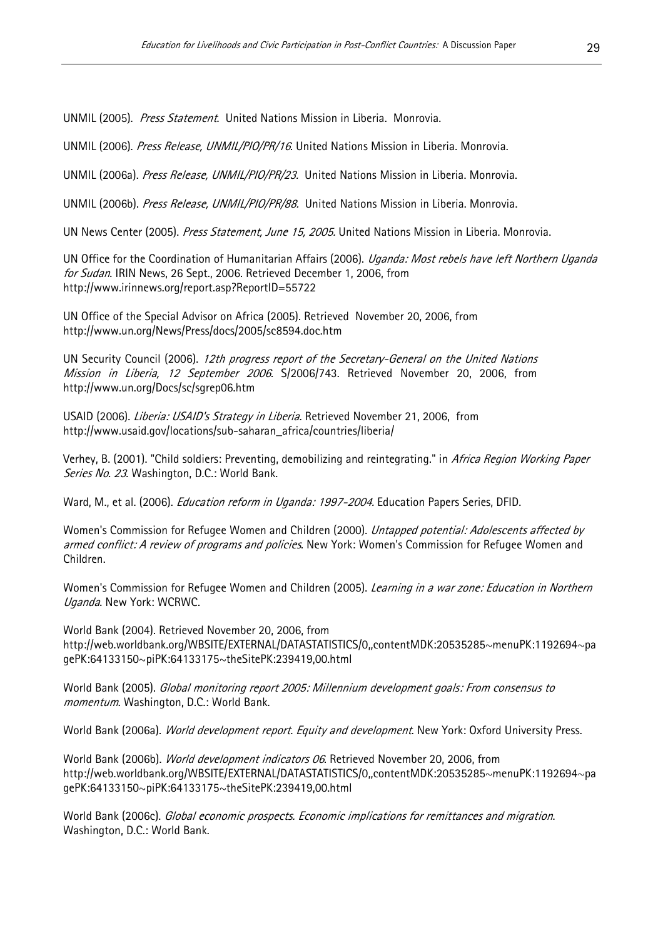UNMIL (2005). Press Statement. United Nations Mission in Liberia. Monrovia.

UNMIL (2006). Press Release, UNMIL/PIO/PR/16. United Nations Mission in Liberia. Monrovia.

UNMIL (2006a). Press Release, UNMIL/PIO/PR/23. United Nations Mission in Liberia. Monrovia.

UNMIL (2006b). Press Release, UNMIL/PIO/PR/88. United Nations Mission in Liberia. Monrovia.

UN News Center (2005). Press Statement, June 15, 2005. United Nations Mission in Liberia. Monrovia.

UN Office for the Coordination of Humanitarian Affairs (2006). Uganda: Most rebels have left Northern Uganda for Sudan. IRIN News, 26 Sept., 2006. Retrieved December 1, 2006, from http://www.irinnews.org/report.asp?ReportID=55722

UN Office of the Special Advisor on Africa (2005). Retrieved November 20, 2006, from http://www.un.org/News/Press/docs/2005/sc8594.doc.htm

UN Security Council (2006). 12th progress report of the Secretary-General on the United Nations Mission in Liberia, 12 September 2006. S/2006/743. Retrieved November 20, 2006, from http://www.un.org/Docs/sc/sgrep06.htm

USAID (2006). Liberia: USAID's Strategy in Liberia. Retrieved November 21, 2006, from http://www.usaid.gov/locations/sub-saharan\_africa/countries/liberia/

Verhey, B. (2001). "Child soldiers: Preventing, demobilizing and reintegrating." in Africa Region Working Paper Series No. 23. Washington, D.C.: World Bank.

Ward, M., et al. (2006). *Education reform in Uganda: 1997-2004*. Education Papers Series, DFID.

Women's Commission for Refugee Women and Children (2000). *Untapped potential: Adolescents affected by* armed conflict: A review of programs and policies. New York: Women's Commission for Refugee Women and Children.

Women's Commission for Refugee Women and Children (2005). Learning in a war zone: Education in Northern Uganda. New York: WCRWC.

World Bank (2004). Retrieved November 20, 2006, from http://web.worldbank.org/WBSITE/EXTERNAL/DATASTATISTICS/0,,contentMDK:20535285~menuPK:1192694~pa gePK:64133150~piPK:64133175~theSitePK:239419,00.html

World Bank (2005). Global monitoring report 2005: Millennium development goals: From consensus to momentum. Washington, D.C.: World Bank.

World Bank (2006a). *World development report. Equity and development*. New York: Oxford University Press.

World Bank (2006b). World development indicators 06. Retrieved November 20, 2006, from http://web.worldbank.org/WBSITE/EXTERNAL/DATASTATISTICS/0,,contentMDK:20535285~menuPK:1192694~pa gePK:64133150~piPK:64133175~theSitePK:239419,00.html

World Bank (2006c). Global economic prospects. Economic implications for remittances and migration. Washington, D.C.: World Bank.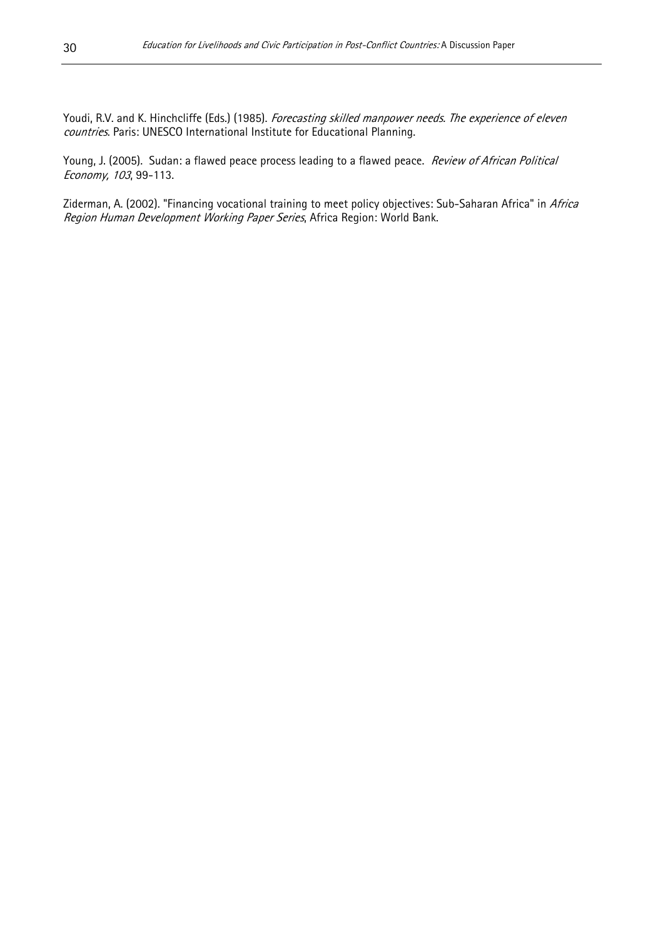Youdi, R.V. and K. Hinchcliffe (Eds.) (1985). Forecasting skilled manpower needs. The experience of eleven countries. Paris: UNESCO International Institute for Educational Planning.

Young, J. (2005). Sudan: a flawed peace process leading to a flawed peace. Review of African Political Economy, 103, 99-113.

Ziderman, A. (2002). "Financing vocational training to meet policy objectives: Sub-Saharan Africa" in Africa Region Human Development Working Paper Series, Africa Region: World Bank.